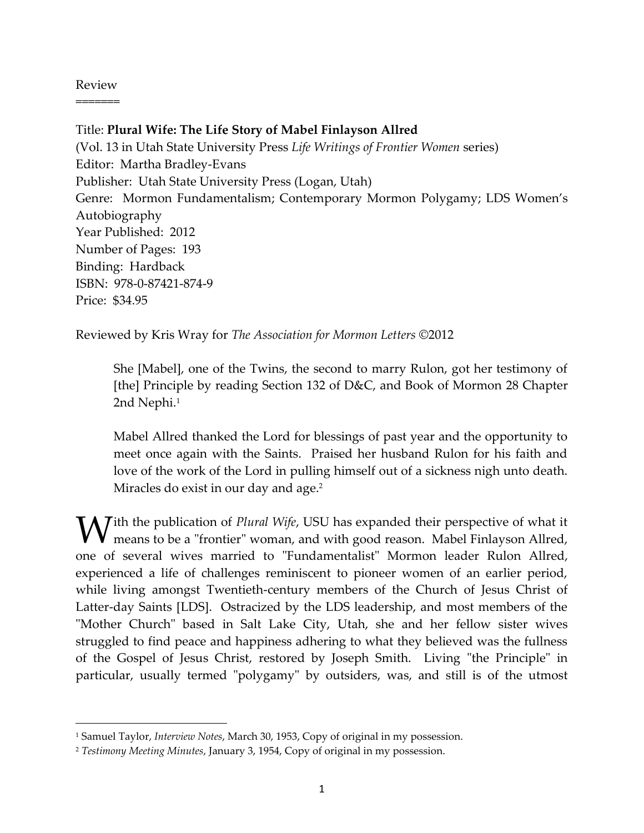## Review =======

l

Title: **Plural Wife: The Life Story of Mabel Finlayson Allred** (Vol. 13 in Utah State University Press *Life Writings of Frontier Women* series) Editor: Martha Bradley-Evans Publisher: Utah State University Press (Logan, Utah) Genre: Mormon Fundamentalism; Contemporary Mormon Polygamy; LDS Women's Autobiography Year Published: 2012 Number of Pages: 193 Binding: Hardback ISBN: 978-0-87421-874-9 Price: \$34.95

Reviewed by Kris Wray for *The Association for Mormon Letters* ©2012

She [Mabel], one of the Twins, the second to marry Rulon, got her testimony of [the] Principle by reading Section 132 of D&C, and Book of Mormon 28 Chapter 2nd Nephi.<sup>1</sup>

Mabel Allred thanked the Lord for blessings of past year and the opportunity to meet once again with the Saints. Praised her husband Rulon for his faith and love of the work of the Lord in pulling himself out of a sickness nigh unto death. Miracles do exist in our day and age.<sup>2</sup>

**V** ith the publication of *Plural Wife*, USU has expanded their perspective of what it means to be a "frontier" woman, and with good reason. Mabel Finlayson Allred, means to be a "frontier" woman, and with good reason. Mabel Finlayson Allred, one of several wives married to "Fundamentalist" Mormon leader Rulon Allred, experienced a life of challenges reminiscent to pioneer women of an earlier period, while living amongst Twentieth-century members of the Church of Jesus Christ of Latter-day Saints [LDS]. Ostracized by the LDS leadership, and most members of the "Mother Church" based in Salt Lake City, Utah, she and her fellow sister wives struggled to find peace and happiness adhering to what they believed was the fullness of the Gospel of Jesus Christ, restored by Joseph Smith. Living "the Principle" in particular, usually termed "polygamy" by outsiders, was, and still is of the utmost

<sup>1</sup> Samuel Taylor, *Interview Notes*, March 30, 1953, Copy of original in my possession.

<sup>2</sup> *Testimony Meeting Minutes*, January 3, 1954, Copy of original in my possession.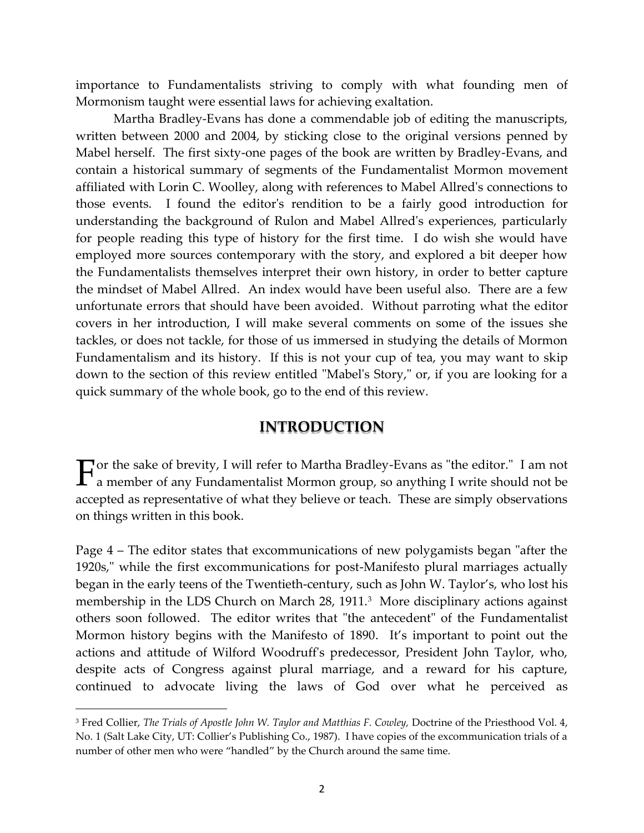importance to Fundamentalists striving to comply with what founding men of Mormonism taught were essential laws for achieving exaltation.

Martha Bradley-Evans has done a commendable job of editing the manuscripts, written between 2000 and 2004, by sticking close to the original versions penned by Mabel herself. The first sixty-one pages of the book are written by Bradley-Evans, and contain a historical summary of segments of the Fundamentalist Mormon movement affiliated with Lorin C. Woolley, along with references to Mabel Allred's connections to those events. I found the editor's rendition to be a fairly good introduction for understanding the background of Rulon and Mabel Allred's experiences, particularly for people reading this type of history for the first time. I do wish she would have employed more sources contemporary with the story, and explored a bit deeper how the Fundamentalists themselves interpret their own history, in order to better capture the mindset of Mabel Allred. An index would have been useful also. There are a few unfortunate errors that should have been avoided. Without parroting what the editor covers in her introduction, I will make several comments on some of the issues she tackles, or does not tackle, for those of us immersed in studying the details of Mormon Fundamentalism and its history. If this is not your cup of tea, you may want to skip down to the section of this review entitled "Mabel's Story," or, if you are looking for a quick summary of the whole book, go to the end of this review.

### **INTRODUCTION**

or the sake of brevity, I will refer to Martha Bradley-Evans as "the editor." I am not  $\Gamma$  are the sake of brevity, I will refer to Martha Bradley-Evans as "the editor." I am not a member of any Fundamentalist Mormon group, so anything I write should not be accepted as representative of what they believe or teach. These are simply observations on things written in this book.

Page 4 – The editor states that excommunications of new polygamists began "after the 1920s," while the first excommunications for post-Manifesto plural marriages actually began in the early teens of the Twentieth-century, such as John W. Taylor's, who lost his membership in the LDS Church on March 28, 1911.<sup>3</sup> More disciplinary actions against others soon followed. The editor writes that "the antecedent" of the Fundamentalist Mormon history begins with the Manifesto of 1890. It's important to point out the actions and attitude of Wilford Woodruff's predecessor, President John Taylor, who, despite acts of Congress against plural marriage, and a reward for his capture, continued to advocate living the laws of God over what he perceived as

<sup>&</sup>lt;sup>3</sup> Fred Collier, *The Trials of Apostle John W. Taylor and Matthias F. Cowley, Doctrine of the Priesthood Vol. 4,* No. 1 (Salt Lake City, UT: Collier's Publishing Co., 1987). I have copies of the excommunication trials of a number of other men who were "handled" by the Church around the same time.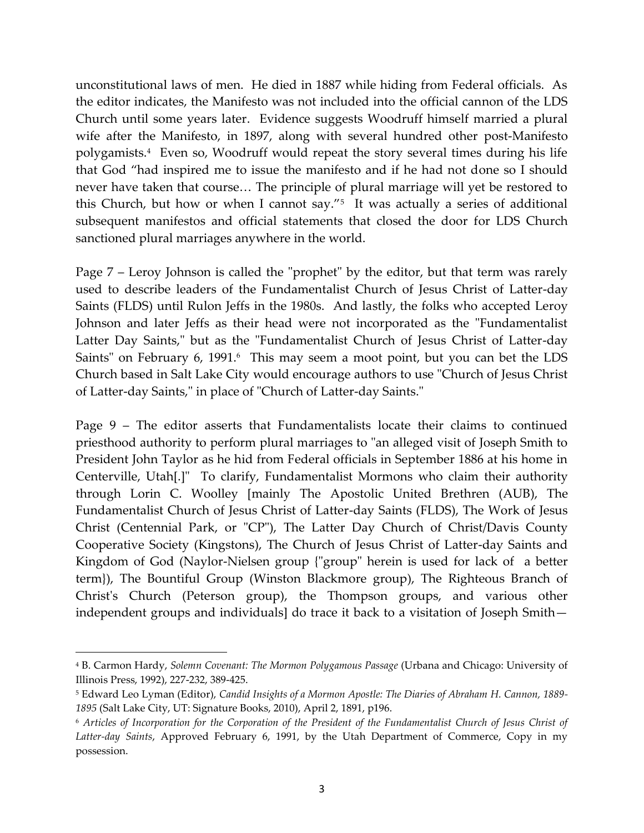unconstitutional laws of men. He died in 1887 while hiding from Federal officials. As the editor indicates, the Manifesto was not included into the official cannon of the LDS Church until some years later. Evidence suggests Woodruff himself married a plural wife after the Manifesto, in 1897, along with several hundred other post-Manifesto polygamists.<sup>4</sup> Even so, Woodruff would repeat the story several times during his life that God "had inspired me to issue the manifesto and if he had not done so I should never have taken that course... The principle of plural marriage will yet be restored to this Church, but how or when I cannot say."<sup>5</sup> It was actually a series of additional subsequent manifestos and official statements that closed the door for LDS Church sanctioned plural marriages anywhere in the world.

Page 7 – Leroy Johnson is called the "prophet" by the editor, but that term was rarely used to describe leaders of the Fundamentalist Church of Jesus Christ of Latter-day Saints (FLDS) until Rulon Jeffs in the 1980s. And lastly, the folks who accepted Leroy Johnson and later Jeffs as their head were not incorporated as the "Fundamentalist Latter Day Saints," but as the "Fundamentalist Church of Jesus Christ of Latter-day Saints" on February 6, 1991.<sup>6</sup> This may seem a moot point, but you can bet the LDS Church based in Salt Lake City would encourage authors to use "Church of Jesus Christ of Latter-day Saints," in place of "Church of Latter-day Saints."

Page 9 – The editor asserts that Fundamentalists locate their claims to continued priesthood authority to perform plural marriages to "an alleged visit of Joseph Smith to President John Taylor as he hid from Federal officials in September 1886 at his home in Centerville, Utah[.]" To clarify, Fundamentalist Mormons who claim their authority through Lorin C. Woolley [mainly The Apostolic United Brethren (AUB), The Fundamentalist Church of Jesus Christ of Latter-day Saints (FLDS), The Work of Jesus Christ (Centennial Park, or "CP"), The Latter Day Church of Christ/Davis County Cooperative Society (Kingstons), The Church of Jesus Christ of Latter-day Saints and Kingdom of God (Naylor-Nielsen group {"group" herein is used for lack of a better term}), The Bountiful Group (Winston Blackmore group), The Righteous Branch of Christ's Church (Peterson group), the Thompson groups, and various other independent groups and individuals] do trace it back to a visitation of Joseph Smith—

<sup>4</sup> B. Carmon Hardy, *Solemn Covenant: The Mormon Polygamous Passage* (Urbana and Chicago: University of Illinois Press, 1992), 227-232, 389-425.

<sup>5</sup> Edward Leo Lyman (Editor), *Candid Insights of a Mormon Apostle: The Diaries of Abraham H. Cannon, 1889- 1895* (Salt Lake City, UT: Signature Books, 2010), April 2, 1891, p196.

<sup>6</sup> *Articles of Incorporation for the Corporation of the President of the Fundamentalist Church of Jesus Christ of Latter-day Saints*, Approved February 6, 1991, by the Utah Department of Commerce, Copy in my possession.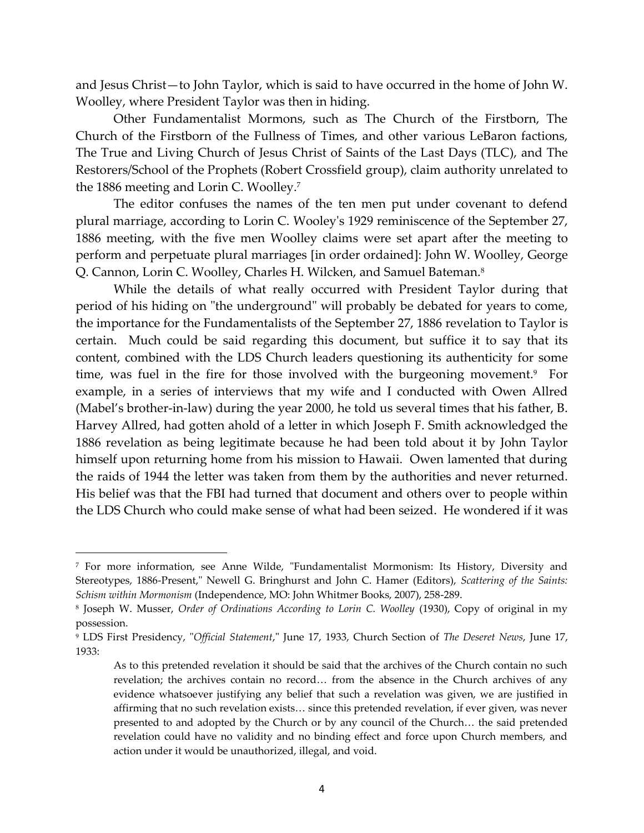and Jesus Christ—to John Taylor, which is said to have occurred in the home of John W. Woolley, where President Taylor was then in hiding.

Other Fundamentalist Mormons, such as The Church of the Firstborn, The Church of the Firstborn of the Fullness of Times, and other various LeBaron factions, The True and Living Church of Jesus Christ of Saints of the Last Days (TLC), and The Restorers/School of the Prophets (Robert Crossfield group), claim authority unrelated to the 1886 meeting and Lorin C. Woolley.<sup>7</sup>

The editor confuses the names of the ten men put under covenant to defend plural marriage, according to Lorin C. Wooley's 1929 reminiscence of the September 27, 1886 meeting, with the five men Woolley claims were set apart after the meeting to perform and perpetuate plural marriages [in order ordained]: John W. Woolley, George Q. Cannon, Lorin C. Woolley, Charles H. Wilcken, and Samuel Bateman.<sup>8</sup>

While the details of what really occurred with President Taylor during that period of his hiding on "the underground" will probably be debated for years to come, the importance for the Fundamentalists of the September 27, 1886 revelation to Taylor is certain. Much could be said regarding this document, but suffice it to say that its content, combined with the LDS Church leaders questioning its authenticity for some time, was fuel in the fire for those involved with the burgeoning movement.<sup>9</sup> For example, in a series of interviews that my wife and I conducted with Owen Allred (Mabel's brother-in-law) during the year 2000, he told us several times that his father, B. Harvey Allred, had gotten ahold of a letter in which Joseph F. Smith acknowledged the 1886 revelation as being legitimate because he had been told about it by John Taylor himself upon returning home from his mission to Hawaii. Owen lamented that during the raids of 1944 the letter was taken from them by the authorities and never returned. His belief was that the FBI had turned that document and others over to people within the LDS Church who could make sense of what had been seized. He wondered if it was

<sup>7</sup> For more information, see Anne Wilde, "Fundamentalist Mormonism: Its History, Diversity and Stereotypes, 1886-Present," Newell G. Bringhurst and John C. Hamer (Editors), *Scattering of the Saints: Schism within Mormonism* (Independence, MO: John Whitmer Books, 2007), 258-289.

<sup>8</sup> Joseph W. Musser, *Order of Ordinations According to Lorin C. Woolley* (1930), Copy of original in my possession.

<sup>9</sup> LDS First Presidency, "*Official Statement*," June 17, 1933, Church Section of *The Deseret News*, June 17, 1933:

As to this pretended revelation it should be said that the archives of the Church contain no such revelation; the archives contain no record... from the absence in the Church archives of any evidence whatsoever justifying any belief that such a revelation was given, we are justified in affirming that no such revelation exists... since this pretended revelation, if ever given, was never presented to and adopted by the Church or by any council of the Church... the said pretended revelation could have no validity and no binding effect and force upon Church members, and action under it would be unauthorized, illegal, and void.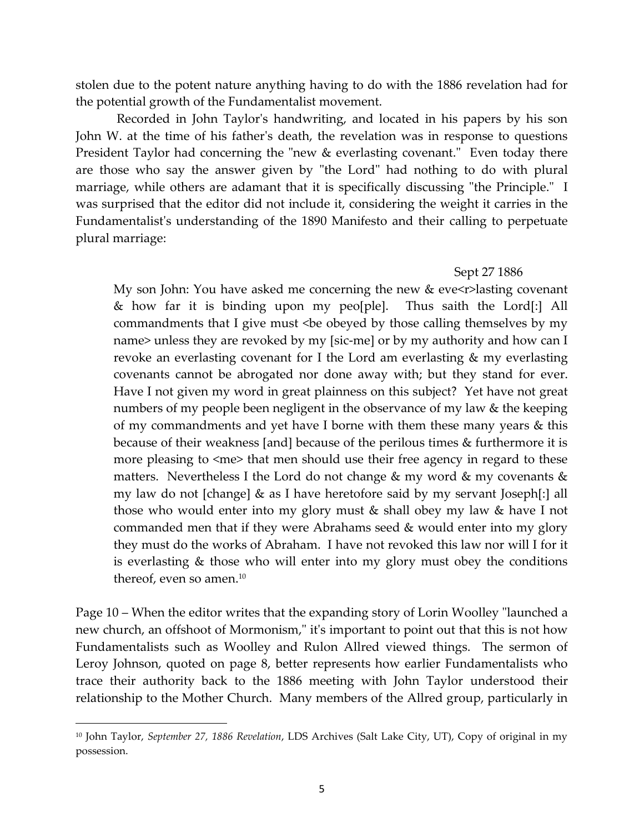stolen due to the potent nature anything having to do with the 1886 revelation had for the potential growth of the Fundamentalist movement.

Recorded in John Taylor's handwriting, and located in his papers by his son John W. at the time of his father's death, the revelation was in response to questions President Taylor had concerning the "new & everlasting covenant." Even today there are those who say the answer given by "the Lord" had nothing to do with plural marriage, while others are adamant that it is specifically discussing "the Principle." I was surprised that the editor did not include it, considering the weight it carries in the Fundamentalist's understanding of the 1890 Manifesto and their calling to perpetuate plural marriage:

#### Sept 27 1886

My son John: You have asked me concerning the new  $&$  eve $\leq$ r>lasting covenant & how far it is binding upon my peo[ple]. Thus saith the Lord[:] All commandments that I give must <be obeyed by those calling themselves by my name> unless they are revoked by my [sic-me] or by my authority and how can I revoke an everlasting covenant for I the Lord am everlasting & my everlasting covenants cannot be abrogated nor done away with; but they stand for ever. Have I not given my word in great plainness on this subject? Yet have not great numbers of my people been negligent in the observance of my law & the keeping of my commandments and yet have I borne with them these many years & this because of their weakness [and] because of the perilous times & furthermore it is more pleasing to <me> that men should use their free agency in regard to these matters. Nevertheless I the Lord do not change & my word & my covenants & my law do not [change] & as I have heretofore said by my servant Joseph[:] all those who would enter into my glory must & shall obey my law & have I not commanded men that if they were Abrahams seed & would enter into my glory they must do the works of Abraham. I have not revoked this law nor will I for it is everlasting & those who will enter into my glory must obey the conditions thereof, even so amen.<sup>10</sup>

Page 10 – When the editor writes that the expanding story of Lorin Woolley "launched a new church, an offshoot of Mormonism," it's important to point out that this is not how Fundamentalists such as Woolley and Rulon Allred viewed things. The sermon of Leroy Johnson, quoted on page 8, better represents how earlier Fundamentalists who trace their authority back to the 1886 meeting with John Taylor understood their relationship to the Mother Church. Many members of the Allred group, particularly in

<sup>10</sup> John Taylor, *September 27, 1886 Revelation*, LDS Archives (Salt Lake City, UT), Copy of original in my possession.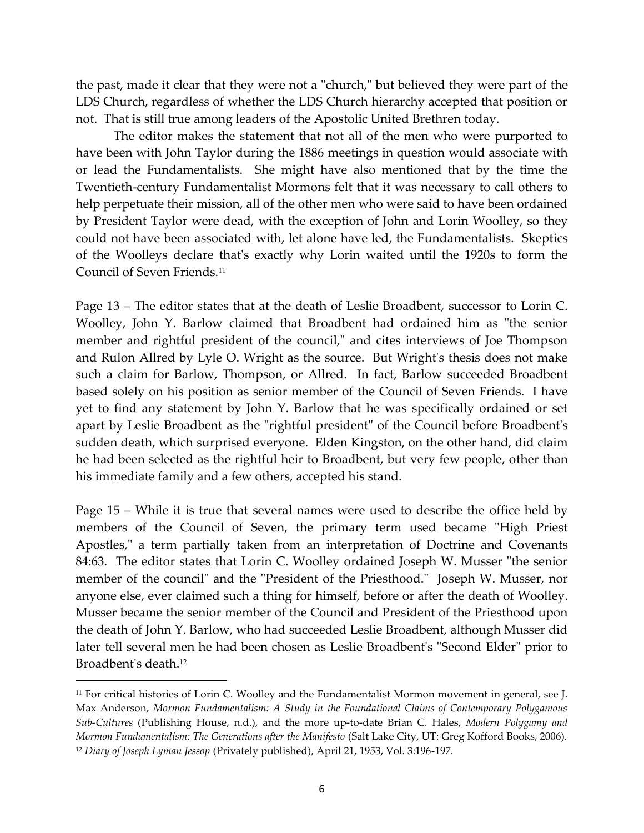the past, made it clear that they were not a "church," but believed they were part of the LDS Church, regardless of whether the LDS Church hierarchy accepted that position or not. That is still true among leaders of the Apostolic United Brethren today.

The editor makes the statement that not all of the men who were purported to have been with John Taylor during the 1886 meetings in question would associate with or lead the Fundamentalists. She might have also mentioned that by the time the Twentieth-century Fundamentalist Mormons felt that it was necessary to call others to help perpetuate their mission, all of the other men who were said to have been ordained by President Taylor were dead, with the exception of John and Lorin Woolley, so they could not have been associated with, let alone have led, the Fundamentalists. Skeptics of the Woolleys declare that's exactly why Lorin waited until the 1920s to form the Council of Seven Friends.<sup>11</sup>

Page 13 – The editor states that at the death of Leslie Broadbent, successor to Lorin C. Woolley, John Y. Barlow claimed that Broadbent had ordained him as "the senior member and rightful president of the council," and cites interviews of Joe Thompson and Rulon Allred by Lyle O. Wright as the source. But Wright's thesis does not make such a claim for Barlow, Thompson, or Allred. In fact, Barlow succeeded Broadbent based solely on his position as senior member of the Council of Seven Friends. I have yet to find any statement by John Y. Barlow that he was specifically ordained or set apart by Leslie Broadbent as the "rightful president" of the Council before Broadbent's sudden death, which surprised everyone. Elden Kingston, on the other hand, did claim he had been selected as the rightful heir to Broadbent, but very few people, other than his immediate family and a few others, accepted his stand.

Page 15 – While it is true that several names were used to describe the office held by members of the Council of Seven, the primary term used became "High Priest Apostles," a term partially taken from an interpretation of Doctrine and Covenants 84:63. The editor states that Lorin C. Woolley ordained Joseph W. Musser "the senior member of the council" and the "President of the Priesthood." Joseph W. Musser, nor anyone else, ever claimed such a thing for himself, before or after the death of Woolley. Musser became the senior member of the Council and President of the Priesthood upon the death of John Y. Barlow, who had succeeded Leslie Broadbent, although Musser did later tell several men he had been chosen as Leslie Broadbent's "Second Elder" prior to Broadbent's death.<sup>12</sup>

<sup>&</sup>lt;sup>11</sup> For critical histories of Lorin C. Woolley and the Fundamentalist Mormon movement in general, see J. Max Anderson, *Mormon Fundamentalism: A Study in the Foundational Claims of Contemporary Polygamous Sub-Cultures* (Publishing House, n.d.), and the more up-to-date Brian C. Hales, *Modern Polygamy and Mormon Fundamentalism: The Generations after the Manifesto* (Salt Lake City, UT: Greg Kofford Books, 2006). <sup>12</sup> *Diary of Joseph Lyman Jessop* (Privately published), April 21, 1953, Vol. 3:196-197.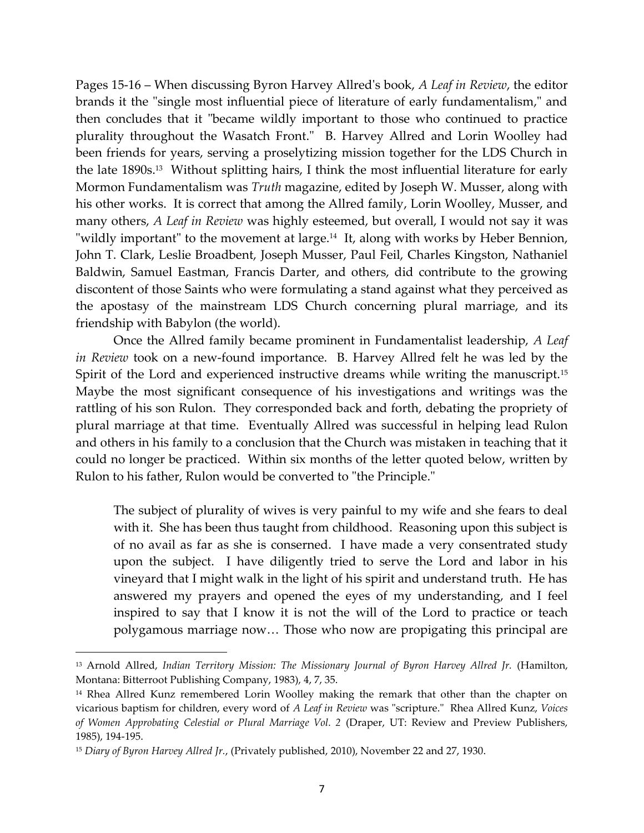Pages 15-16 – When discussing Byron Harvey Allred's book, *A Leaf in Review*, the editor brands it the "single most influential piece of literature of early fundamentalism," and then concludes that it "became wildly important to those who continued to practice plurality throughout the Wasatch Front." B. Harvey Allred and Lorin Woolley had been friends for years, serving a proselytizing mission together for the LDS Church in the late 1890s.<sup>13</sup> Without splitting hairs, I think the most influential literature for early Mormon Fundamentalism was *Truth* magazine, edited by Joseph W. Musser, along with his other works. It is correct that among the Allred family, Lorin Woolley, Musser, and many others, *A Leaf in Review* was highly esteemed, but overall, I would not say it was "wildly important" to the movement at large.<sup>14</sup> It, along with works by Heber Bennion, John T. Clark, Leslie Broadbent, Joseph Musser, Paul Feil, Charles Kingston, Nathaniel Baldwin, Samuel Eastman, Francis Darter, and others, did contribute to the growing discontent of those Saints who were formulating a stand against what they perceived as the apostasy of the mainstream LDS Church concerning plural marriage, and its friendship with Babylon (the world).

Once the Allred family became prominent in Fundamentalist leadership, *A Leaf in Review* took on a new-found importance. B. Harvey Allred felt he was led by the Spirit of the Lord and experienced instructive dreams while writing the manuscript.<sup>15</sup> Maybe the most significant consequence of his investigations and writings was the rattling of his son Rulon. They corresponded back and forth, debating the propriety of plural marriage at that time. Eventually Allred was successful in helping lead Rulon and others in his family to a conclusion that the Church was mistaken in teaching that it could no longer be practiced. Within six months of the letter quoted below, written by Rulon to his father, Rulon would be converted to "the Principle."

The subject of plurality of wives is very painful to my wife and she fears to deal with it. She has been thus taught from childhood. Reasoning upon this subject is of no avail as far as she is conserned. I have made a very consentrated study upon the subject. I have diligently tried to serve the Lord and labor in his vineyard that I might walk in the light of his spirit and understand truth. He has answered my prayers and opened the eyes of my understanding, and I feel inspired to say that I know it is not the will of the Lord to practice or teach polygamous marriage now... Those who now are propigating this principal are

<sup>13</sup> Arnold Allred, *Indian Territory Mission: The Missionary Journal of Byron Harvey Allred Jr.* (Hamilton, Montana: Bitterroot Publishing Company, 1983), 4, 7, 35.

<sup>&</sup>lt;sup>14</sup> Rhea Allred Kunz remembered Lorin Woolley making the remark that other than the chapter on vicarious baptism for children, every word of *A Leaf in Review* was "scripture." Rhea Allred Kunz, *Voices of Women Approbating Celestial or Plural Marriage Vol. 2* (Draper, UT: Review and Preview Publishers, 1985), 194-195.

<sup>15</sup> *Diary of Byron Harvey Allred Jr.*, (Privately published, 2010), November 22 and 27, 1930.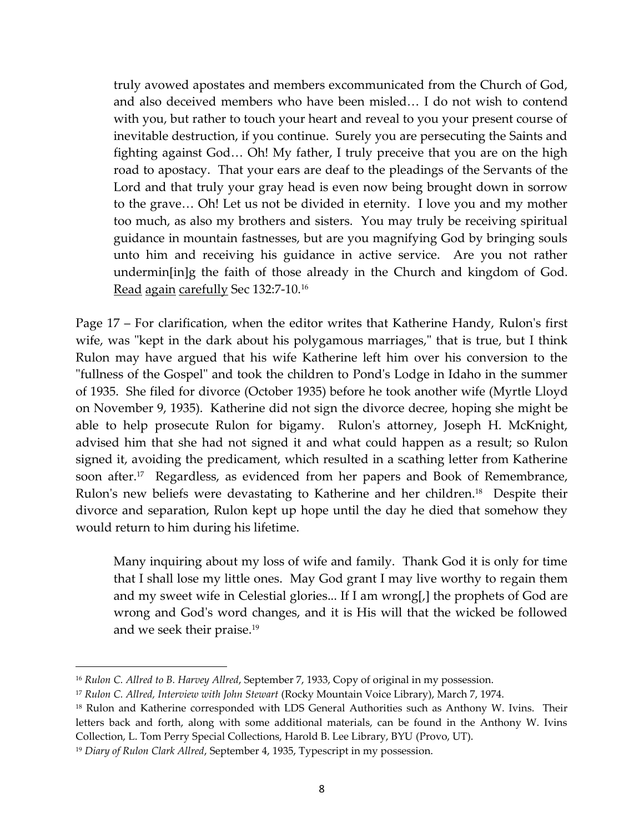truly avowed apostates and members excommunicated from the Church of God, and also deceived members who have been misled... I do not wish to contend with you, but rather to touch your heart and reveal to you your present course of inevitable destruction, if you continue. Surely you are persecuting the Saints and fighting against God... Oh! My father, I truly preceive that you are on the high road to apostacy. That your ears are deaf to the pleadings of the Servants of the Lord and that truly your gray head is even now being brought down in sorrow to the grave< Oh! Let us not be divided in eternity. I love you and my mother too much, as also my brothers and sisters. You may truly be receiving spiritual guidance in mountain fastnesses, but are you magnifying God by bringing souls unto him and receiving his guidance in active service. Are you not rather undermin[in]g the faith of those already in the Church and kingdom of God. Read again carefully Sec 132:7-10.<sup>16</sup>

Page 17 – For clarification, when the editor writes that Katherine Handy, Rulon's first wife, was "kept in the dark about his polygamous marriages," that is true, but I think Rulon may have argued that his wife Katherine left him over his conversion to the "fullness of the Gospel" and took the children to Pond's Lodge in Idaho in the summer of 1935. She filed for divorce (October 1935) before he took another wife (Myrtle Lloyd on November 9, 1935). Katherine did not sign the divorce decree, hoping she might be able to help prosecute Rulon for bigamy. Rulon's attorney, Joseph H. McKnight, advised him that she had not signed it and what could happen as a result; so Rulon signed it, avoiding the predicament, which resulted in a scathing letter from Katherine soon after.<sup>17</sup> Regardless, as evidenced from her papers and Book of Remembrance, Rulon's new beliefs were devastating to Katherine and her children.<sup>18</sup> Despite their divorce and separation, Rulon kept up hope until the day he died that somehow they would return to him during his lifetime.

Many inquiring about my loss of wife and family. Thank God it is only for time that I shall lose my little ones. May God grant I may live worthy to regain them and my sweet wife in Celestial glories... If I am wrong[,] the prophets of God are wrong and God's word changes, and it is His will that the wicked be followed and we seek their praise.<sup>19</sup>

<sup>16</sup> *Rulon C. Allred to B. Harvey Allred*, September 7, 1933, Copy of original in my possession.

<sup>17</sup> *Rulon C. Allred, Interview with John Stewart* (Rocky Mountain Voice Library), March 7, 1974.

<sup>&</sup>lt;sup>18</sup> Rulon and Katherine corresponded with LDS General Authorities such as Anthony W. Ivins. Their letters back and forth, along with some additional materials, can be found in the Anthony W. Ivins Collection, L. Tom Perry Special Collections, Harold B. Lee Library, BYU (Provo, UT).

<sup>&</sup>lt;sup>19</sup> Diary of Rulon Clark Allred, September 4, 1935, Typescript in my possession.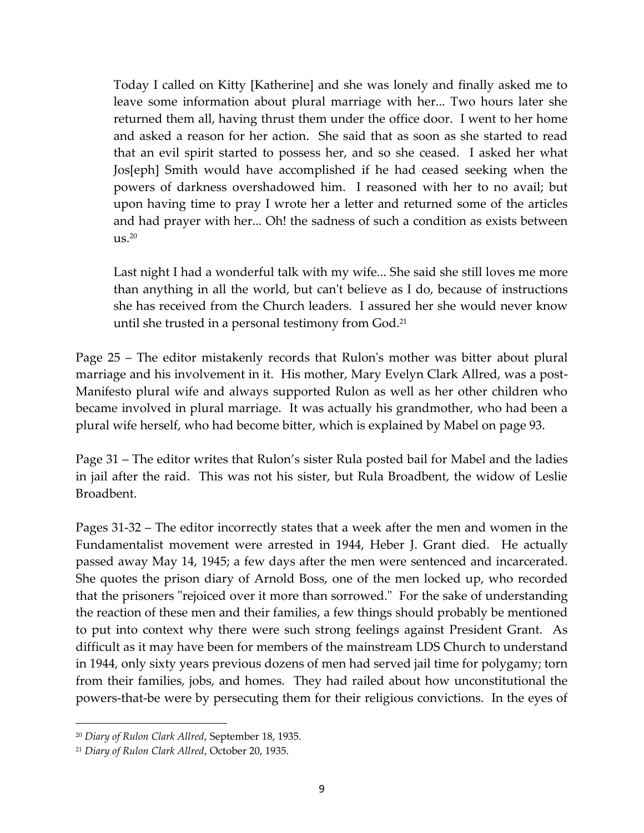Today I called on Kitty [Katherine] and she was lonely and finally asked me to leave some information about plural marriage with her... Two hours later she returned them all, having thrust them under the office door. I went to her home and asked a reason for her action. She said that as soon as she started to read that an evil spirit started to possess her, and so she ceased. I asked her what Jos[eph] Smith would have accomplished if he had ceased seeking when the powers of darkness overshadowed him. I reasoned with her to no avail; but upon having time to pray I wrote her a letter and returned some of the articles and had prayer with her... Oh! the sadness of such a condition as exists between  $\text{us.}^{20}$ 

Last night I had a wonderful talk with my wife... She said she still loves me more than anything in all the world, but can't believe as I do, because of instructions she has received from the Church leaders. I assured her she would never know until she trusted in a personal testimony from God.<sup>21</sup>

Page 25 – The editor mistakenly records that Rulon's mother was bitter about plural marriage and his involvement in it. His mother, Mary Evelyn Clark Allred, was a post-Manifesto plural wife and always supported Rulon as well as her other children who became involved in plural marriage. It was actually his grandmother, who had been a plural wife herself, who had become bitter, which is explained by Mabel on page 93.

Page 31 – The editor writes that Rulon's sister Rula posted bail for Mabel and the ladies in jail after the raid. This was not his sister, but Rula Broadbent, the widow of Leslie Broadbent.

Pages 31-32 – The editor incorrectly states that a week after the men and women in the Fundamentalist movement were arrested in 1944, Heber J. Grant died. He actually passed away May 14, 1945; a few days after the men were sentenced and incarcerated. She quotes the prison diary of Arnold Boss, one of the men locked up, who recorded that the prisoners "rejoiced over it more than sorrowed." For the sake of understanding the reaction of these men and their families, a few things should probably be mentioned to put into context why there were such strong feelings against President Grant. As difficult as it may have been for members of the mainstream LDS Church to understand in 1944, only sixty years previous dozens of men had served jail time for polygamy; torn from their families, jobs, and homes. They had railed about how unconstitutional the powers-that-be were by persecuting them for their religious convictions. In the eyes of

<sup>20</sup> *Diary of Rulon Clark Allred*, September 18, 1935.

<sup>21</sup> *Diary of Rulon Clark Allred*, October 20, 1935.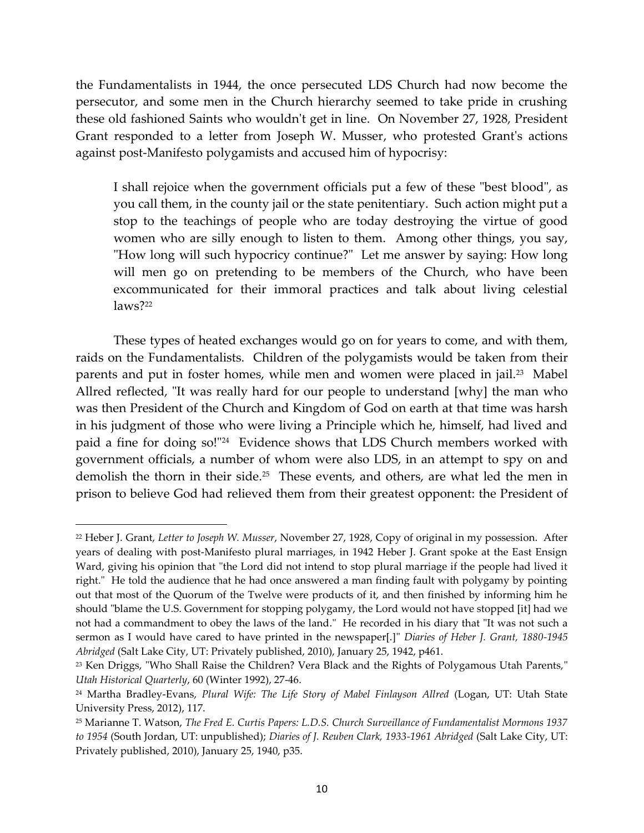the Fundamentalists in 1944, the once persecuted LDS Church had now become the persecutor, and some men in the Church hierarchy seemed to take pride in crushing these old fashioned Saints who wouldn't get in line. On November 27, 1928, President Grant responded to a letter from Joseph W. Musser, who protested Grant's actions against post-Manifesto polygamists and accused him of hypocrisy:

I shall rejoice when the government officials put a few of these "best blood", as you call them, in the county jail or the state penitentiary. Such action might put a stop to the teachings of people who are today destroying the virtue of good women who are silly enough to listen to them. Among other things, you say, "How long will such hypocricy continue?" Let me answer by saying: How long will men go on pretending to be members of the Church, who have been excommunicated for their immoral practices and talk about living celestial laws?<sup>22</sup>

These types of heated exchanges would go on for years to come, and with them, raids on the Fundamentalists. Children of the polygamists would be taken from their parents and put in foster homes, while men and women were placed in jail.<sup>23</sup> Mabel Allred reflected, "It was really hard for our people to understand [why] the man who was then President of the Church and Kingdom of God on earth at that time was harsh in his judgment of those who were living a Principle which he, himself, had lived and paid a fine for doing so!"<sup>24</sup> Evidence shows that LDS Church members worked with government officials, a number of whom were also LDS, in an attempt to spy on and demolish the thorn in their side.<sup>25</sup> These events, and others, are what led the men in prison to believe God had relieved them from their greatest opponent: the President of

<sup>22</sup> Heber J. Grant, *Letter to Joseph W. Musser*, November 27, 1928, Copy of original in my possession. After years of dealing with post-Manifesto plural marriages, in 1942 Heber J. Grant spoke at the East Ensign Ward, giving his opinion that "the Lord did not intend to stop plural marriage if the people had lived it right." He told the audience that he had once answered a man finding fault with polygamy by pointing out that most of the Quorum of the Twelve were products of it, and then finished by informing him he should "blame the U.S. Government for stopping polygamy, the Lord would not have stopped [it] had we not had a commandment to obey the laws of the land." He recorded in his diary that "It was not such a sermon as I would have cared to have printed in the newspaper[.]" *Diaries of Heber J. Grant, 1880-1945 Abridged* (Salt Lake City, UT: Privately published, 2010), January 25, 1942, p461.

<sup>&</sup>lt;sup>23</sup> Ken Driggs, "Who Shall Raise the Children? Vera Black and the Rights of Polygamous Utah Parents," *Utah Historical Quarterly*, 60 (Winter 1992), 27-46.

<sup>24</sup> Martha Bradley-Evans, *Plural Wife: The Life Story of Mabel Finlayson Allred* (Logan, UT: Utah State University Press, 2012), 117.

<sup>25</sup> Marianne T. Watson, *The Fred E. Curtis Papers: L.D.S. Church Surveillance of Fundamentalist Mormons 1937 to 1954* (South Jordan, UT: unpublished); *Diaries of J. Reuben Clark, 1933-1961 Abridged* (Salt Lake City, UT: Privately published, 2010), January 25, 1940, p35.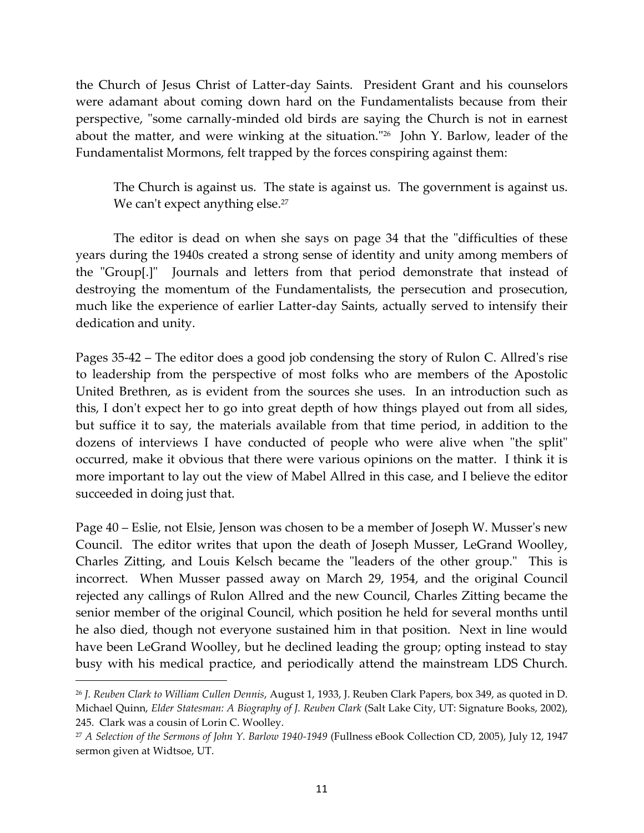the Church of Jesus Christ of Latter-day Saints. President Grant and his counselors were adamant about coming down hard on the Fundamentalists because from their perspective, "some carnally-minded old birds are saying the Church is not in earnest about the matter, and were winking at the situation." 26 John Y. Barlow, leader of the Fundamentalist Mormons, felt trapped by the forces conspiring against them:

The Church is against us. The state is against us. The government is against us. We can't expect anything else.<sup>27</sup>

The editor is dead on when she says on page 34 that the "difficulties of these years during the 1940s created a strong sense of identity and unity among members of the "Group[.]" Journals and letters from that period demonstrate that instead of destroying the momentum of the Fundamentalists, the persecution and prosecution, much like the experience of earlier Latter-day Saints, actually served to intensify their dedication and unity.

Pages 35-42 – The editor does a good job condensing the story of Rulon C. Allred's rise to leadership from the perspective of most folks who are members of the Apostolic United Brethren, as is evident from the sources she uses. In an introduction such as this, I don't expect her to go into great depth of how things played out from all sides, but suffice it to say, the materials available from that time period, in addition to the dozens of interviews I have conducted of people who were alive when "the split" occurred, make it obvious that there were various opinions on the matter. I think it is more important to lay out the view of Mabel Allred in this case, and I believe the editor succeeded in doing just that.

Page 40 – Eslie, not Elsie, Jenson was chosen to be a member of Joseph W. Musser's new Council. The editor writes that upon the death of Joseph Musser, LeGrand Woolley, Charles Zitting, and Louis Kelsch became the "leaders of the other group." This is incorrect. When Musser passed away on March 29, 1954, and the original Council rejected any callings of Rulon Allred and the new Council, Charles Zitting became the senior member of the original Council, which position he held for several months until he also died, though not everyone sustained him in that position. Next in line would have been LeGrand Woolley, but he declined leading the group; opting instead to stay busy with his medical practice, and periodically attend the mainstream LDS Church.

<sup>26</sup> *J. Reuben Clark to William Cullen Dennis*, August 1, 1933, J. Reuben Clark Papers, box 349, as quoted in D. Michael Quinn, *Elder Statesman: A Biography of J. Reuben Clark* (Salt Lake City, UT: Signature Books, 2002), 245. Clark was a cousin of Lorin C. Woolley.

<sup>27</sup> *A Selection of the Sermons of John Y. Barlow 1940-1949* (Fullness eBook Collection CD, 2005), July 12, 1947 sermon given at Widtsoe, UT.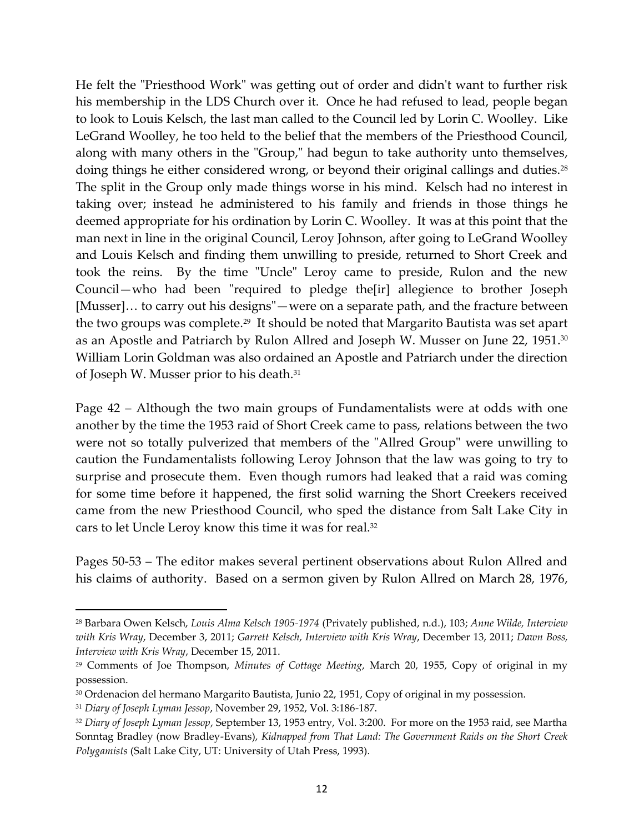He felt the "Priesthood Work" was getting out of order and didn't want to further risk his membership in the LDS Church over it. Once he had refused to lead, people began to look to Louis Kelsch, the last man called to the Council led by Lorin C. Woolley. Like LeGrand Woolley, he too held to the belief that the members of the Priesthood Council, along with many others in the "Group," had begun to take authority unto themselves, doing things he either considered wrong, or beyond their original callings and duties. $^{28}$ The split in the Group only made things worse in his mind. Kelsch had no interest in taking over; instead he administered to his family and friends in those things he deemed appropriate for his ordination by Lorin C. Woolley. It was at this point that the man next in line in the original Council, Leroy Johnson, after going to LeGrand Woolley and Louis Kelsch and finding them unwilling to preside, returned to Short Creek and took the reins. By the time "Uncle" Leroy came to preside, Rulon and the new Council—who had been "required to pledge the[ir] allegience to brother Joseph [Musser]... to carry out his designs"—were on a separate path, and the fracture between the two groups was complete.<sup>29</sup> It should be noted that Margarito Bautista was set apart as an Apostle and Patriarch by Rulon Allred and Joseph W. Musser on June 22, 1951. 30 William Lorin Goldman was also ordained an Apostle and Patriarch under the direction of Joseph W. Musser prior to his death.<sup>31</sup>

Page 42 – Although the two main groups of Fundamentalists were at odds with one another by the time the 1953 raid of Short Creek came to pass, relations between the two were not so totally pulverized that members of the "Allred Group" were unwilling to caution the Fundamentalists following Leroy Johnson that the law was going to try to surprise and prosecute them. Even though rumors had leaked that a raid was coming for some time before it happened, the first solid warning the Short Creekers received came from the new Priesthood Council, who sped the distance from Salt Lake City in cars to let Uncle Leroy know this time it was for real.<sup>32</sup>

Pages 50-53 – The editor makes several pertinent observations about Rulon Allred and his claims of authority. Based on a sermon given by Rulon Allred on March 28, 1976,

<sup>28</sup> Barbara Owen Kelsch, *Louis Alma Kelsch 1905-1974* (Privately published, n.d.), 103; *Anne Wilde, Interview with Kris Wray*, December 3, 2011; *Garrett Kelsch, Interview with Kris Wray*, December 13, 2011; *Dawn Boss, Interview with Kris Wray*, December 15, 2011.

<sup>29</sup> Comments of Joe Thompson, *Minutes of Cottage Meeting*, March 20, 1955, Copy of original in my possession.

<sup>30</sup> Ordenacion del hermano Margarito Bautista, Junio 22, 1951, Copy of original in my possession.

<sup>31</sup> *Diary of Joseph Lyman Jessop*, November 29, 1952, Vol. 3:186-187.

<sup>32</sup> *Diary of Joseph Lyman Jessop*, September 13, 1953 entry, Vol. 3:200. For more on the 1953 raid, see Martha Sonntag Bradley (now Bradley-Evans), *Kidnapped from That Land: The Government Raids on the Short Creek Polygamists* (Salt Lake City, UT: University of Utah Press, 1993).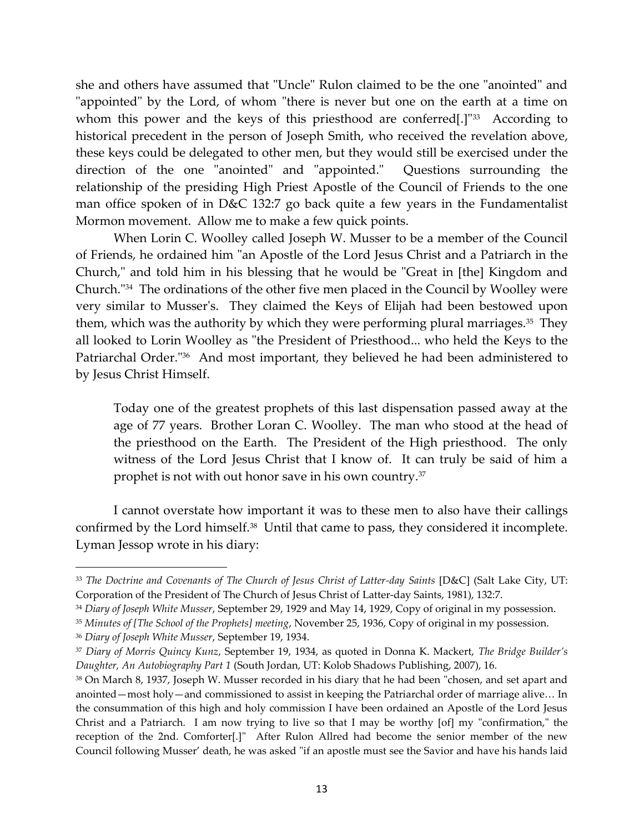she and others have assumed that "Uncle" Rulon claimed to be the one "anointed" and "appointed" by the Lord, of whom "there is never but one on the earth at a time on whom this power and the keys of this priesthood are conferred[.]"<sup>33</sup> According to historical precedent in the person of Joseph Smith, who received the revelation above, these keys could be delegated to other men, but they would still be exercised under the direction of the one "anointed" and "appointed." Questions surrounding the relationship of the presiding High Priest Apostle of the Council of Friends to the one man office spoken of in D&C 132:7 go back quite a few years in the Fundamentalist Mormon movement. Allow me to make a few quick points.

When Lorin C. Woolley called Joseph W. Musser to be a member of the Council of Friends, he ordained him "an Apostle of the Lord Jesus Christ and a Patriarch in the Church," and told him in his blessing that he would be "Great in [the] Kingdom and Church."<sup>34</sup> The ordinations of the other five men placed in the Council by Woolley were very similar to Musser's. They claimed the Keys of Elijah had been bestowed upon them, which was the authority by which they were performing plural marriages.<sup>35</sup> They all looked to Lorin Woolley as "the President of Priesthood... who held the Keys to the Patriarchal Order."<sup>36</sup> And most important, they believed he had been administered to by Jesus Christ Himself.

Today one of the greatest prophets of this last dispensation passed away at the age of 77 years. Brother Loran C. Woolley. The man who stood at the head of the priesthood on the Earth. The President of the High priesthood. The only witness of the Lord Jesus Christ that I know of. It can truly be said of him a prophet is not with out honor save in his own country.<sup>37</sup>

I cannot overstate how important it was to these men to also have their callings confirmed by the Lord himself.<sup>38</sup> Until that came to pass, they considered it incomplete. Lyman Jessop wrote in his diary:

<sup>&</sup>lt;sup>33</sup> The Doctrine and Covenants of The Church of Jesus Christ of Latter-day Saints [D&C] (Salt Lake City, UT: Corporation of the President of The Church of Jesus Christ of Latter-day Saints, 1981), 132:7.

<sup>34</sup> *Diary of Joseph White Musser*, September 29, 1929 and May 14, 1929, Copy of original in my possession.

<sup>35</sup> *Minutes of [The School of the Prophets] meeting*, November 25, 1936, Copy of original in my possession.

<sup>36</sup> *Diary of Joseph White Musser*, September 19, 1934.

<sup>37</sup> *Diary of Morris Quincy Kunz*, September 19, 1934, as quoted in Donna K. Mackert, *The Bridge Builder's Daughter, An Autobiography Part 1* (South Jordan, UT: Kolob Shadows Publishing, 2007), 16.

<sup>38</sup> On March 8, 1937, Joseph W. Musser recorded in his diary that he had been "chosen, and set apart and anointed—most holy—and commissioned to assist in keeping the Patriarchal order of marriage alive... In the consummation of this high and holy commission I have been ordained an Apostle of the Lord Jesus Christ and a Patriarch. I am now trying to live so that I may be worthy [of] my "confirmation," the reception of the 2nd. Comforter[.]" After Rulon Allred had become the senior member of the new Council following Musser' death, he was asked "if an apostle must see the Savior and have his hands laid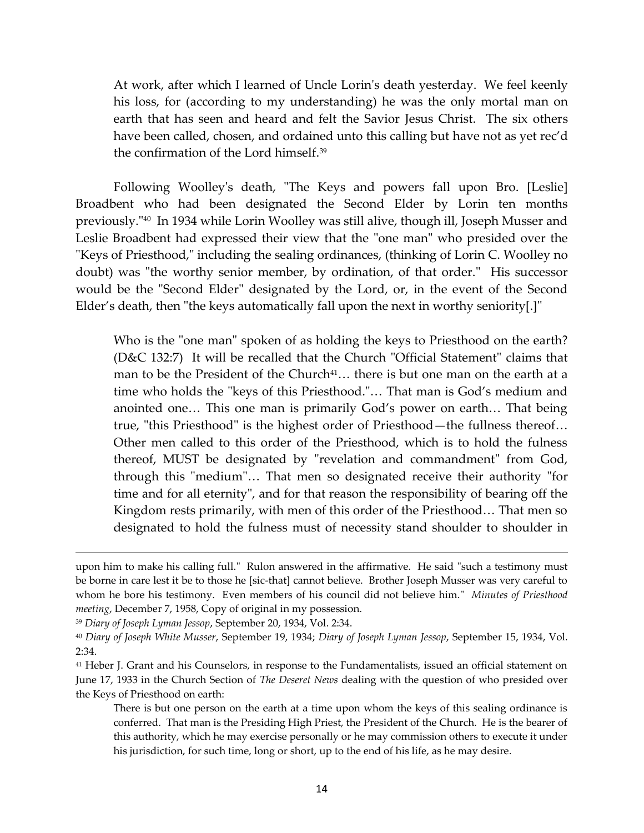At work, after which I learned of Uncle Lorin's death yesterday. We feel keenly his loss, for (according to my understanding) he was the only mortal man on earth that has seen and heard and felt the Savior Jesus Christ. The six others have been called, chosen, and ordained unto this calling but have not as yet rec'd the confirmation of the Lord himself.<sup>39</sup>

Following Woolley's death, "The Keys and powers fall upon Bro. [Leslie] Broadbent who had been designated the Second Elder by Lorin ten months previously."<sup>40</sup> In 1934 while Lorin Woolley was still alive, though ill, Joseph Musser and Leslie Broadbent had expressed their view that the "one man" who presided over the "Keys of Priesthood," including the sealing ordinances, (thinking of Lorin C. Woolley no doubt) was "the worthy senior member, by ordination, of that order." His successor would be the "Second Elder" designated by the Lord, or, in the event of the Second Elder's death, then "the keys automatically fall upon the next in worthy seniority[.]"

Who is the "one man" spoken of as holding the keys to Priesthood on the earth? (D&C 132:7) It will be recalled that the Church "Official Statement" claims that man to be the President of the Church<sup>41</sup> $\ldots$  there is but one man on the earth at a time who holds the "keys of this Priesthood."... That man is God's medium and anointed one... This one man is primarily God's power on earth... That being true, "this Priesthood" is the highest order of Priesthood—the fullness thereof< Other men called to this order of the Priesthood, which is to hold the fulness thereof, MUST be designated by "revelation and commandment" from God, through this "medium"... That men so designated receive their authority "for time and for all eternity", and for that reason the responsibility of bearing off the Kingdom rests primarily, with men of this order of the Priesthood... That men so designated to hold the fulness must of necessity stand shoulder to shoulder in

upon him to make his calling full." Rulon answered in the affirmative. He said "such a testimony must be borne in care lest it be to those he [sic-that] cannot believe. Brother Joseph Musser was very careful to whom he bore his testimony. Even members of his council did not believe him." *Minutes of Priesthood meeting*, December 7, 1958, Copy of original in my possession.

<sup>39</sup> *Diary of Joseph Lyman Jessop*, September 20, 1934, Vol. 2:34.

<sup>40</sup> *Diary of Joseph White Musser*, September 19, 1934; *Diary of Joseph Lyman Jessop*, September 15, 1934, Vol. 2:34.

<sup>41</sup> Heber J. Grant and his Counselors, in response to the Fundamentalists, issued an official statement on June 17, 1933 in the Church Section of *The Deseret News* dealing with the question of who presided over the Keys of Priesthood on earth:

There is but one person on the earth at a time upon whom the keys of this sealing ordinance is conferred. That man is the Presiding High Priest, the President of the Church. He is the bearer of this authority, which he may exercise personally or he may commission others to execute it under his jurisdiction, for such time, long or short, up to the end of his life, as he may desire.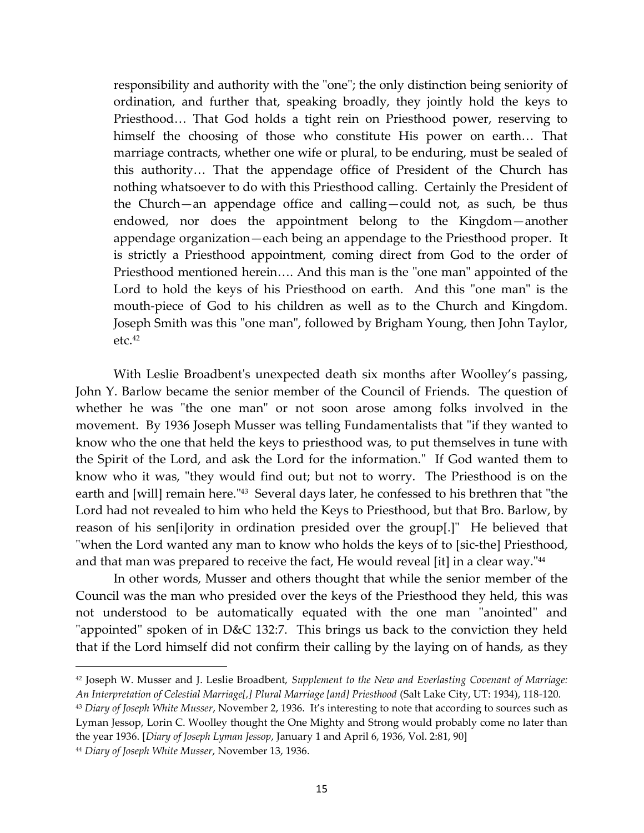responsibility and authority with the "one"; the only distinction being seniority of ordination, and further that, speaking broadly, they jointly hold the keys to Priesthood... That God holds a tight rein on Priesthood power, reserving to himself the choosing of those who constitute His power on earth... That marriage contracts, whether one wife or plural, to be enduring, must be sealed of this authority... That the appendage office of President of the Church has nothing whatsoever to do with this Priesthood calling. Certainly the President of the Church—an appendage office and calling—could not, as such, be thus endowed, nor does the appointment belong to the Kingdom—another appendage organization—each being an appendage to the Priesthood proper. It is strictly a Priesthood appointment, coming direct from God to the order of Priesthood mentioned herein.... And this man is the "one man" appointed of the Lord to hold the keys of his Priesthood on earth. And this "one man" is the mouth-piece of God to his children as well as to the Church and Kingdom. Joseph Smith was this "one man", followed by Brigham Young, then John Taylor,  $etc.<sup>42</sup>$ 

With Leslie Broadbent's unexpected death six months after Woolley's passing, John Y. Barlow became the senior member of the Council of Friends. The question of whether he was "the one man" or not soon arose among folks involved in the movement. By 1936 Joseph Musser was telling Fundamentalists that "if they wanted to know who the one that held the keys to priesthood was, to put themselves in tune with the Spirit of the Lord, and ask the Lord for the information." If God wanted them to know who it was, "they would find out; but not to worry. The Priesthood is on the earth and [will] remain here." 43 Several days later, he confessed to his brethren that "the Lord had not revealed to him who held the Keys to Priesthood, but that Bro. Barlow, by reason of his sen[i]ority in ordination presided over the group[.]" He believed that "when the Lord wanted any man to know who holds the keys of to [sic-the] Priesthood, and that man was prepared to receive the fact, He would reveal [it] in a clear way."<sup>44</sup>

In other words, Musser and others thought that while the senior member of the Council was the man who presided over the keys of the Priesthood they held, this was not understood to be automatically equated with the one man "anointed" and "appointed" spoken of in D&C 132:7. This brings us back to the conviction they held that if the Lord himself did not confirm their calling by the laying on of hands, as they

<sup>42</sup> Joseph W. Musser and J. Leslie Broadbent, *Supplement to the New and Everlasting Covenant of Marriage: An Interpretation of Celestial Marriage[,] Plural Marriage [and] Priesthood* (Salt Lake City, UT: 1934), 118-120. <sup>43</sup> *Diary of Joseph White Musser*, November 2, 1936. It's interesting to note that according to sources such as Lyman Jessop, Lorin C. Woolley thought the One Mighty and Strong would probably come no later than the year 1936. [*Diary of Joseph Lyman Jessop*, January 1 and April 6, 1936, Vol. 2:81, 90]

<sup>44</sup> *Diary of Joseph White Musser*, November 13, 1936.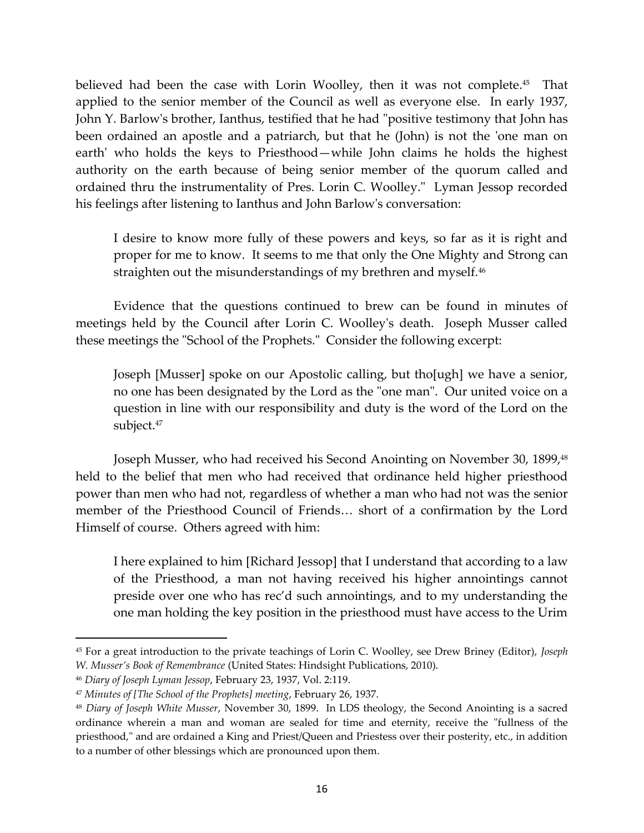believed had been the case with Lorin Woolley, then it was not complete. 45 That applied to the senior member of the Council as well as everyone else. In early 1937, John Y. Barlow's brother, Ianthus, testified that he had "positive testimony that John has been ordained an apostle and a patriarch, but that he (John) is not the 'one man on earth' who holds the keys to Priesthood—while John claims he holds the highest authority on the earth because of being senior member of the quorum called and ordained thru the instrumentality of Pres. Lorin C. Woolley." Lyman Jessop recorded his feelings after listening to Ianthus and John Barlow's conversation:

I desire to know more fully of these powers and keys, so far as it is right and proper for me to know. It seems to me that only the One Mighty and Strong can straighten out the misunderstandings of my brethren and myself.<sup>46</sup>

Evidence that the questions continued to brew can be found in minutes of meetings held by the Council after Lorin C. Woolley's death. Joseph Musser called these meetings the "School of the Prophets." Consider the following excerpt:

Joseph [Musser] spoke on our Apostolic calling, but tho[ugh] we have a senior, no one has been designated by the Lord as the "one man". Our united voice on a question in line with our responsibility and duty is the word of the Lord on the subject.<sup>47</sup>

Joseph Musser, who had received his Second Anointing on November 30, 1899,<sup>48</sup> held to the belief that men who had received that ordinance held higher priesthood power than men who had not, regardless of whether a man who had not was the senior member of the Priesthood Council of Friends... short of a confirmation by the Lord Himself of course. Others agreed with him:

I here explained to him [Richard Jessop] that I understand that according to a law of the Priesthood, a man not having received his higher annointings cannot preside over one who has rec'd such annointings, and to my understanding the one man holding the key position in the priesthood must have access to the Urim

<sup>45</sup> For a great introduction to the private teachings of Lorin C. Woolley, see Drew Briney (Editor), *Joseph W. Musser's Book of Remembrance* (United States: Hindsight Publications, 2010).

<sup>46</sup> *Diary of Joseph Lyman Jessop*, February 23, 1937, Vol. 2:119.

<sup>47</sup> *Minutes of [The School of the Prophets] meeting*, February 26, 1937.

<sup>48</sup> *Diary of Joseph White Musser*, November 30, 1899. In LDS theology, the Second Anointing is a sacred ordinance wherein a man and woman are sealed for time and eternity, receive the "fullness of the priesthood," and are ordained a King and Priest/Queen and Priestess over their posterity, etc., in addition to a number of other blessings which are pronounced upon them.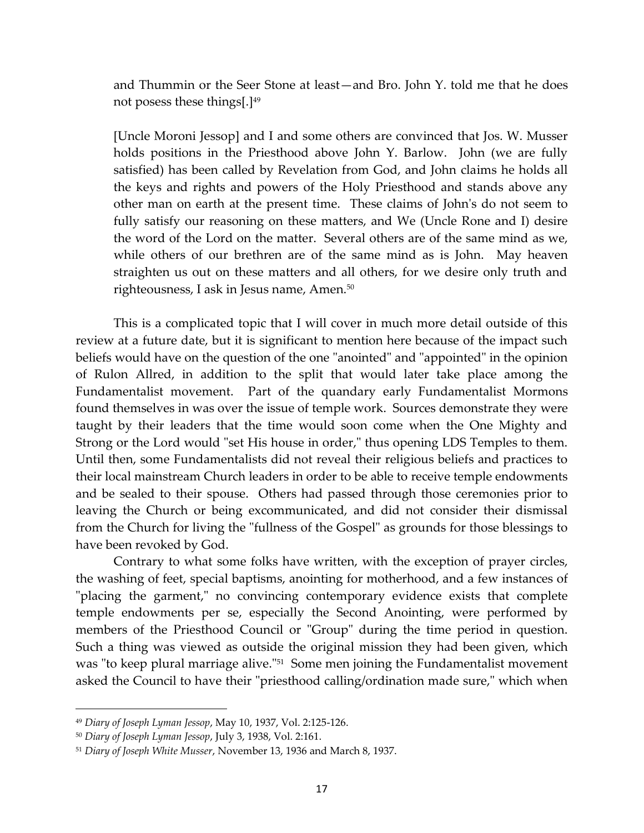and Thummin or the Seer Stone at least—and Bro. John Y. told me that he does not posess these things[.]<sup>49</sup>

[Uncle Moroni Jessop] and I and some others are convinced that Jos. W. Musser holds positions in the Priesthood above John Y. Barlow. John (we are fully satisfied) has been called by Revelation from God, and John claims he holds all the keys and rights and powers of the Holy Priesthood and stands above any other man on earth at the present time. These claims of John's do not seem to fully satisfy our reasoning on these matters, and We (Uncle Rone and I) desire the word of the Lord on the matter. Several others are of the same mind as we, while others of our brethren are of the same mind as is John. May heaven straighten us out on these matters and all others, for we desire only truth and righteousness, I ask in Jesus name, Amen.<sup>50</sup>

This is a complicated topic that I will cover in much more detail outside of this review at a future date, but it is significant to mention here because of the impact such beliefs would have on the question of the one "anointed" and "appointed" in the opinion of Rulon Allred, in addition to the split that would later take place among the Fundamentalist movement. Part of the quandary early Fundamentalist Mormons found themselves in was over the issue of temple work. Sources demonstrate they were taught by their leaders that the time would soon come when the One Mighty and Strong or the Lord would "set His house in order," thus opening LDS Temples to them. Until then, some Fundamentalists did not reveal their religious beliefs and practices to their local mainstream Church leaders in order to be able to receive temple endowments and be sealed to their spouse. Others had passed through those ceremonies prior to leaving the Church or being excommunicated, and did not consider their dismissal from the Church for living the "fullness of the Gospel" as grounds for those blessings to have been revoked by God.

Contrary to what some folks have written, with the exception of prayer circles, the washing of feet, special baptisms, anointing for motherhood, and a few instances of "placing the garment," no convincing contemporary evidence exists that complete temple endowments per se, especially the Second Anointing, were performed by members of the Priesthood Council or "Group" during the time period in question. Such a thing was viewed as outside the original mission they had been given, which was "to keep plural marriage alive."<sup>51</sup> Some men joining the Fundamentalist movement asked the Council to have their "priesthood calling/ordination made sure," which when

<sup>49</sup> *Diary of Joseph Lyman Jessop*, May 10, 1937, Vol. 2:125-126.

<sup>50</sup> *Diary of Joseph Lyman Jessop*, July 3, 1938, Vol. 2:161.

<sup>51</sup> *Diary of Joseph White Musser*, November 13, 1936 and March 8, 1937.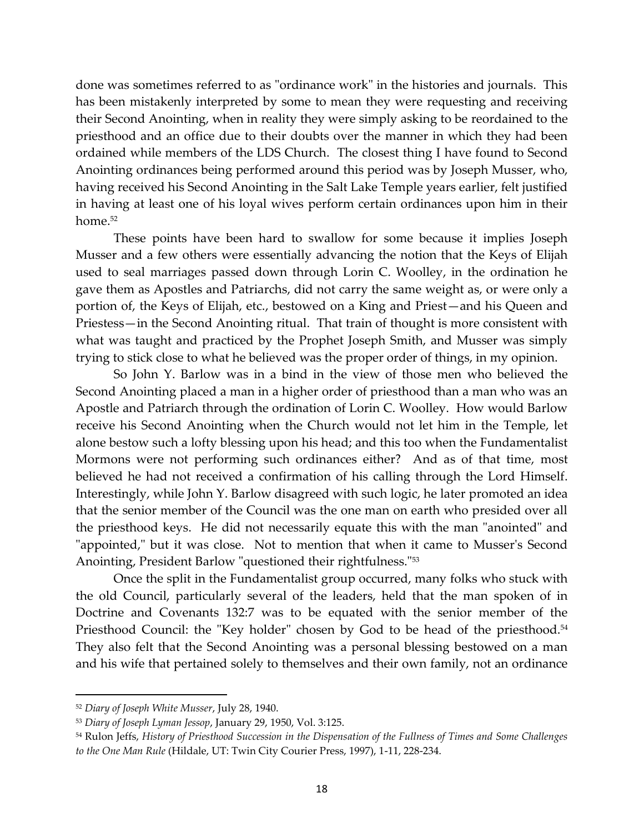done was sometimes referred to as "ordinance work" in the histories and journals. This has been mistakenly interpreted by some to mean they were requesting and receiving their Second Anointing, when in reality they were simply asking to be reordained to the priesthood and an office due to their doubts over the manner in which they had been ordained while members of the LDS Church. The closest thing I have found to Second Anointing ordinances being performed around this period was by Joseph Musser, who, having received his Second Anointing in the Salt Lake Temple years earlier, felt justified in having at least one of his loyal wives perform certain ordinances upon him in their home.<sup>52</sup>

These points have been hard to swallow for some because it implies Joseph Musser and a few others were essentially advancing the notion that the Keys of Elijah used to seal marriages passed down through Lorin C. Woolley, in the ordination he gave them as Apostles and Patriarchs, did not carry the same weight as, or were only a portion of, the Keys of Elijah, etc., bestowed on a King and Priest—and his Queen and Priestess—in the Second Anointing ritual. That train of thought is more consistent with what was taught and practiced by the Prophet Joseph Smith, and Musser was simply trying to stick close to what he believed was the proper order of things, in my opinion.

So John Y. Barlow was in a bind in the view of those men who believed the Second Anointing placed a man in a higher order of priesthood than a man who was an Apostle and Patriarch through the ordination of Lorin C. Woolley. How would Barlow receive his Second Anointing when the Church would not let him in the Temple, let alone bestow such a lofty blessing upon his head; and this too when the Fundamentalist Mormons were not performing such ordinances either? And as of that time, most believed he had not received a confirmation of his calling through the Lord Himself. Interestingly, while John Y. Barlow disagreed with such logic, he later promoted an idea that the senior member of the Council was the one man on earth who presided over all the priesthood keys. He did not necessarily equate this with the man "anointed" and "appointed," but it was close. Not to mention that when it came to Musser's Second Anointing, President Barlow "questioned their rightfulness."<sup>53</sup>

Once the split in the Fundamentalist group occurred, many folks who stuck with the old Council, particularly several of the leaders, held that the man spoken of in Doctrine and Covenants 132:7 was to be equated with the senior member of the Priesthood Council: the "Key holder" chosen by God to be head of the priesthood.<sup>54</sup> They also felt that the Second Anointing was a personal blessing bestowed on a man and his wife that pertained solely to themselves and their own family, not an ordinance

<sup>52</sup> *Diary of Joseph White Musser*, July 28, 1940.

<sup>53</sup> *Diary of Joseph Lyman Jessop*, January 29, 1950, Vol. 3:125.

<sup>54</sup> Rulon Jeffs, *History of Priesthood Succession in the Dispensation of the Fullness of Times and Some Challenges to the One Man Rule* (Hildale, UT: Twin City Courier Press, 1997), 1-11, 228-234.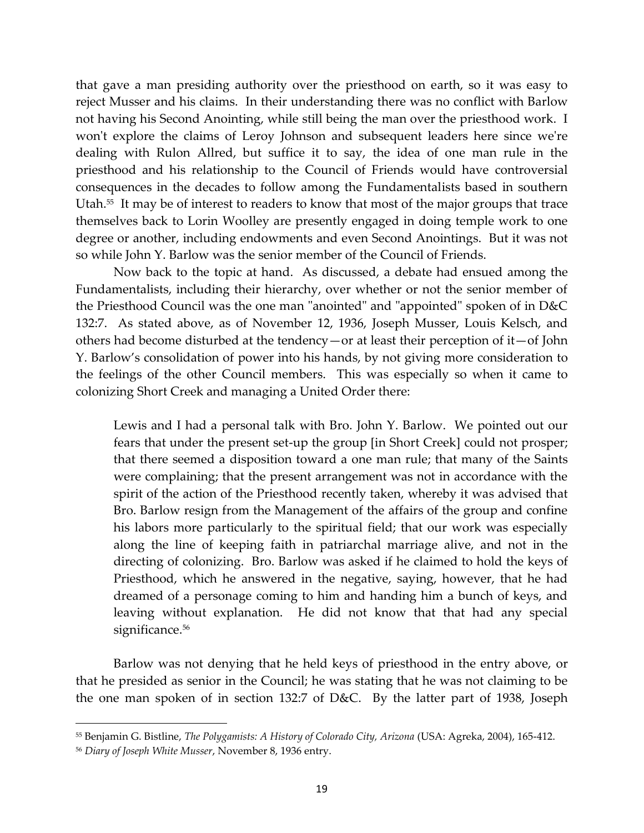that gave a man presiding authority over the priesthood on earth, so it was easy to reject Musser and his claims. In their understanding there was no conflict with Barlow not having his Second Anointing, while still being the man over the priesthood work. I won't explore the claims of Leroy Johnson and subsequent leaders here since we're dealing with Rulon Allred, but suffice it to say, the idea of one man rule in the priesthood and his relationship to the Council of Friends would have controversial consequences in the decades to follow among the Fundamentalists based in southern Utah.<sup>55</sup> It may be of interest to readers to know that most of the major groups that trace themselves back to Lorin Woolley are presently engaged in doing temple work to one degree or another, including endowments and even Second Anointings. But it was not so while John Y. Barlow was the senior member of the Council of Friends.

Now back to the topic at hand. As discussed, a debate had ensued among the Fundamentalists, including their hierarchy, over whether or not the senior member of the Priesthood Council was the one man "anointed" and "appointed" spoken of in D&C 132:7. As stated above, as of November 12, 1936, Joseph Musser, Louis Kelsch, and others had become disturbed at the tendency—or at least their perception of it—of John Y. Barlow's consolidation of power into his hands, by not giving more consideration to the feelings of the other Council members. This was especially so when it came to colonizing Short Creek and managing a United Order there:

Lewis and I had a personal talk with Bro. John Y. Barlow. We pointed out our fears that under the present set-up the group [in Short Creek] could not prosper; that there seemed a disposition toward a one man rule; that many of the Saints were complaining; that the present arrangement was not in accordance with the spirit of the action of the Priesthood recently taken, whereby it was advised that Bro. Barlow resign from the Management of the affairs of the group and confine his labors more particularly to the spiritual field; that our work was especially along the line of keeping faith in patriarchal marriage alive, and not in the directing of colonizing. Bro. Barlow was asked if he claimed to hold the keys of Priesthood, which he answered in the negative, saying, however, that he had dreamed of a personage coming to him and handing him a bunch of keys, and leaving without explanation. He did not know that that had any special significance.<sup>56</sup>

Barlow was not denying that he held keys of priesthood in the entry above, or that he presided as senior in the Council; he was stating that he was not claiming to be the one man spoken of in section 132:7 of D&C. By the latter part of 1938, Joseph

<sup>55</sup> Benjamin G. Bistline, *The Polygamists: A History of Colorado City, Arizona* (USA: Agreka, 2004), 165-412.

<sup>56</sup> *Diary of Joseph White Musser*, November 8, 1936 entry.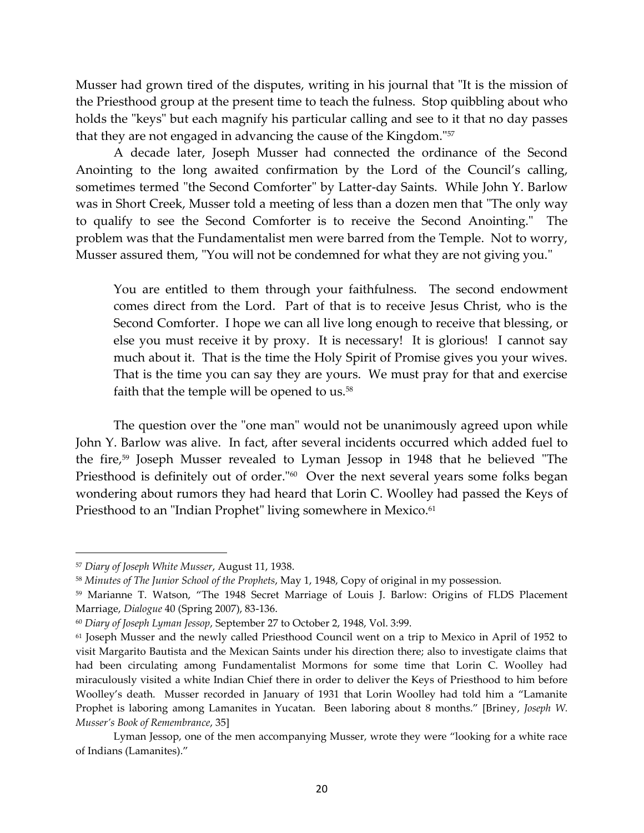Musser had grown tired of the disputes, writing in his journal that "It is the mission of the Priesthood group at the present time to teach the fulness. Stop quibbling about who holds the "keys" but each magnify his particular calling and see to it that no day passes that they are not engaged in advancing the cause of the Kingdom."<sup>57</sup>

A decade later, Joseph Musser had connected the ordinance of the Second Anointing to the long awaited confirmation by the Lord of the Council's calling, sometimes termed "the Second Comforter" by Latter-day Saints. While John Y. Barlow was in Short Creek, Musser told a meeting of less than a dozen men that "The only way to qualify to see the Second Comforter is to receive the Second Anointing." The problem was that the Fundamentalist men were barred from the Temple. Not to worry, Musser assured them, "You will not be condemned for what they are not giving you."

You are entitled to them through your faithfulness. The second endowment comes direct from the Lord. Part of that is to receive Jesus Christ, who is the Second Comforter. I hope we can all live long enough to receive that blessing, or else you must receive it by proxy. It is necessary! It is glorious! I cannot say much about it. That is the time the Holy Spirit of Promise gives you your wives. That is the time you can say they are yours. We must pray for that and exercise faith that the temple will be opened to  $us.^{58}$ 

The question over the "one man" would not be unanimously agreed upon while John Y. Barlow was alive. In fact, after several incidents occurred which added fuel to the fire, <sup>59</sup> Joseph Musser revealed to Lyman Jessop in 1948 that he believed "The Priesthood is definitely out of order."<sup>60</sup> Over the next several years some folks began wondering about rumors they had heard that Lorin C. Woolley had passed the Keys of Priesthood to an "Indian Prophet" living somewhere in Mexico.<sup>61</sup>

<sup>57</sup> *Diary of Joseph White Musser*, August 11, 1938.

<sup>58</sup> *Minutes of The Junior School of the Prophets*, May 1, 1948, Copy of original in my possession.

<sup>59</sup> Marianne T. Watson, "The 1948 Secret Marriage of Louis J. Barlow: Origins of FLDS Placement Marriage, *Dialogue* 40 (Spring 2007), 83-136.

<sup>60</sup> *Diary of Joseph Lyman Jessop*, September 27 to October 2, 1948, Vol. 3:99.

<sup>61</sup> Joseph Musser and the newly called Priesthood Council went on a trip to Mexico in April of 1952 to visit Margarito Bautista and the Mexican Saints under his direction there; also to investigate claims that had been circulating among Fundamentalist Mormons for some time that Lorin C. Woolley had miraculously visited a white Indian Chief there in order to deliver the Keys of Priesthood to him before Woolley's death. Musser recorded in January of 1931 that Lorin Woolley had told him a "Lamanite Prophet is laboring among Lamanites in Yucatan. Been laboring about 8 months." [Briney, *Joseph W. Musser's Book of Remembrance*, 35]

Lyman Jessop, one of the men accompanying Musser, wrote they were "looking for a white race of Indians (Lamanites)."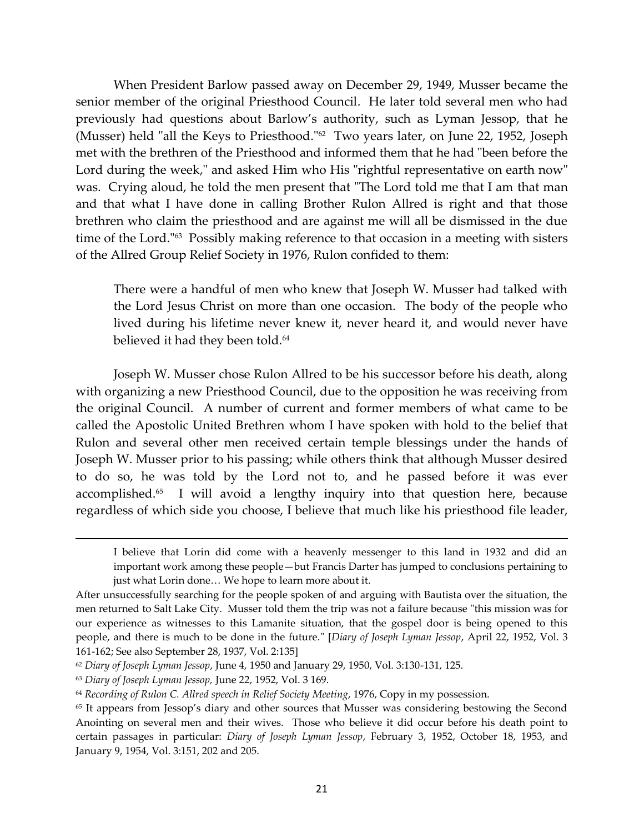When President Barlow passed away on December 29, 1949, Musser became the senior member of the original Priesthood Council. He later told several men who had previously had questions about Barlow's authority, such as Lyman Jessop, that he (Musser) held "all the Keys to Priesthood." 62 Two years later, on June 22, 1952, Joseph met with the brethren of the Priesthood and informed them that he had "been before the Lord during the week," and asked Him who His "rightful representative on earth now" was. Crying aloud, he told the men present that "The Lord told me that I am that man and that what I have done in calling Brother Rulon Allred is right and that those brethren who claim the priesthood and are against me will all be dismissed in the due time of the Lord." 63 Possibly making reference to that occasion in a meeting with sisters of the Allred Group Relief Society in 1976, Rulon confided to them:

There were a handful of men who knew that Joseph W. Musser had talked with the Lord Jesus Christ on more than one occasion. The body of the people who lived during his lifetime never knew it, never heard it, and would never have believed it had they been told.<sup>64</sup>

Joseph W. Musser chose Rulon Allred to be his successor before his death, along with organizing a new Priesthood Council, due to the opposition he was receiving from the original Council. A number of current and former members of what came to be called the Apostolic United Brethren whom I have spoken with hold to the belief that Rulon and several other men received certain temple blessings under the hands of Joseph W. Musser prior to his passing; while others think that although Musser desired to do so, he was told by the Lord not to, and he passed before it was ever accomplished.<sup>65</sup> I will avoid a lengthy inquiry into that question here, because regardless of which side you choose, I believe that much like his priesthood file leader,

I believe that Lorin did come with a heavenly messenger to this land in 1932 and did an important work among these people—but Francis Darter has jumped to conclusions pertaining to just what Lorin done... We hope to learn more about it.

After unsuccessfully searching for the people spoken of and arguing with Bautista over the situation, the men returned to Salt Lake City. Musser told them the trip was not a failure because "this mission was for our experience as witnesses to this Lamanite situation, that the gospel door is being opened to this people, and there is much to be done in the future." [*Diary of Joseph Lyman Jessop*, April 22, 1952, Vol. 3 161-162; See also September 28, 1937, Vol. 2:135]

<sup>62</sup> *Diary of Joseph Lyman Jessop*, June 4, 1950 and January 29, 1950, Vol. 3:130-131, 125.

<sup>63</sup> *Diary of Joseph Lyman Jessop,* June 22, 1952, Vol. 3 169.

<sup>64</sup> *Recording of Rulon C. Allred speech in Relief Society Meeting*, 1976, Copy in my possession.

<sup>65</sup> It appears from Jessop's diary and other sources that Musser was considering bestowing the Second Anointing on several men and their wives. Those who believe it did occur before his death point to certain passages in particular: *Diary of Joseph Lyman Jessop*, February 3, 1952, October 18, 1953, and January 9, 1954, Vol. 3:151, 202 and 205.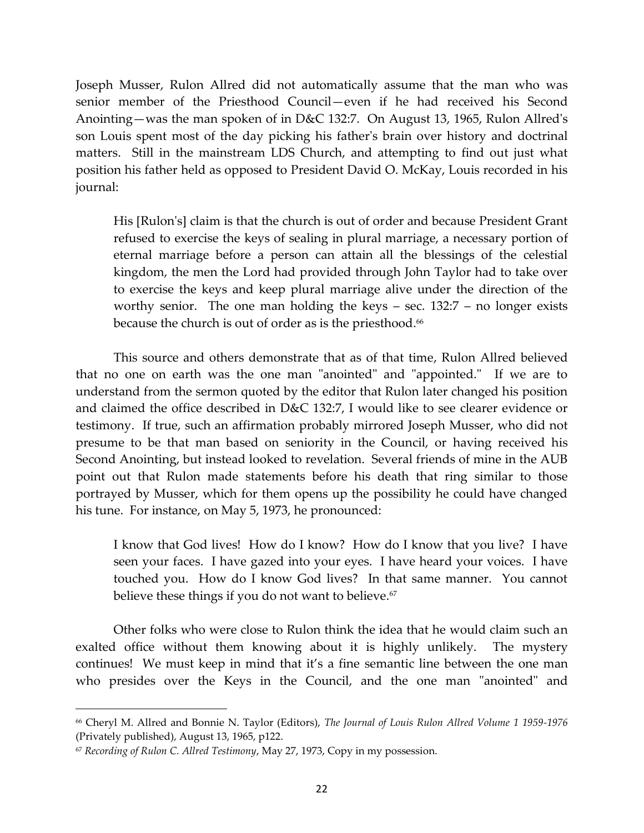Joseph Musser, Rulon Allred did not automatically assume that the man who was senior member of the Priesthood Council—even if he had received his Second Anointing—was the man spoken of in D&C 132:7. On August 13, 1965, Rulon Allred's son Louis spent most of the day picking his father's brain over history and doctrinal matters. Still in the mainstream LDS Church, and attempting to find out just what position his father held as opposed to President David O. McKay, Louis recorded in his journal:

His [Rulon's] claim is that the church is out of order and because President Grant refused to exercise the keys of sealing in plural marriage, a necessary portion of eternal marriage before a person can attain all the blessings of the celestial kingdom, the men the Lord had provided through John Taylor had to take over to exercise the keys and keep plural marriage alive under the direction of the worthy senior. The one man holding the keys – sec. 132:7 – no longer exists because the church is out of order as is the priesthood.<sup>66</sup>

This source and others demonstrate that as of that time, Rulon Allred believed that no one on earth was the one man "anointed" and "appointed." If we are to understand from the sermon quoted by the editor that Rulon later changed his position and claimed the office described in D&C 132:7, I would like to see clearer evidence or testimony. If true, such an affirmation probably mirrored Joseph Musser, who did not presume to be that man based on seniority in the Council, or having received his Second Anointing, but instead looked to revelation. Several friends of mine in the AUB point out that Rulon made statements before his death that ring similar to those portrayed by Musser, which for them opens up the possibility he could have changed his tune. For instance, on May 5, 1973, he pronounced:

I know that God lives! How do I know? How do I know that you live? I have seen your faces. I have gazed into your eyes. I have heard your voices. I have touched you. How do I know God lives? In that same manner. You cannot believe these things if you do not want to believe.<sup>67</sup>

Other folks who were close to Rulon think the idea that he would claim such an exalted office without them knowing about it is highly unlikely. The mystery continues! We must keep in mind that it's a fine semantic line between the one man who presides over the Keys in the Council, and the one man "anointed" and

<sup>66</sup> Cheryl M. Allred and Bonnie N. Taylor (Editors), *The Journal of Louis Rulon Allred Volume 1 1959-1976* (Privately published), August 13, 1965, p122.

<sup>67</sup> *Recording of Rulon C. Allred Testimony*, May 27, 1973, Copy in my possession.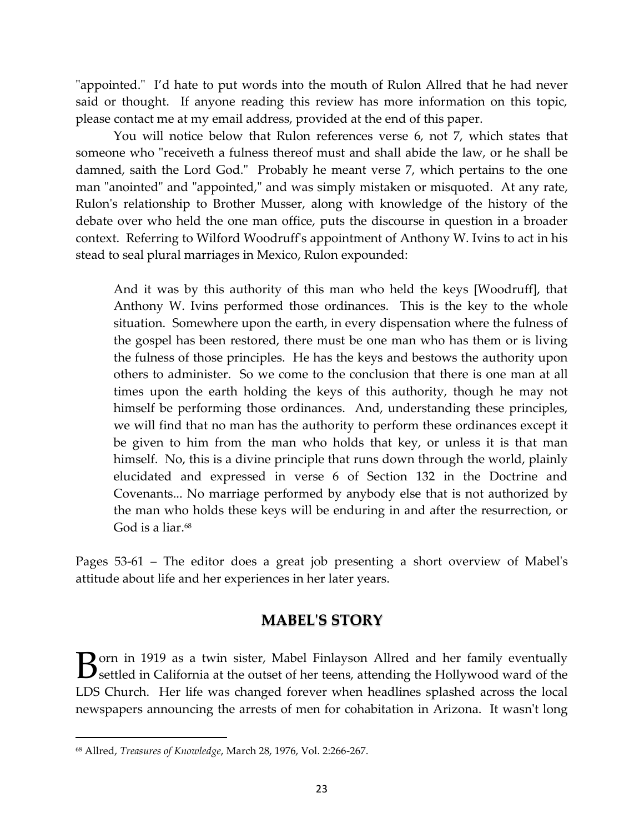"appointed." I'd hate to put words into the mouth of Rulon Allred that he had never said or thought. If anyone reading this review has more information on this topic, please contact me at my email address, provided at the end of this paper.

You will notice below that Rulon references verse 6, not 7, which states that someone who "receiveth a fulness thereof must and shall abide the law, or he shall be damned, saith the Lord God." Probably he meant verse 7, which pertains to the one man "anointed" and "appointed," and was simply mistaken or misquoted. At any rate, Rulon's relationship to Brother Musser, along with knowledge of the history of the debate over who held the one man office, puts the discourse in question in a broader context. Referring to Wilford Woodruff's appointment of Anthony W. Ivins to act in his stead to seal plural marriages in Mexico, Rulon expounded:

And it was by this authority of this man who held the keys [Woodruff], that Anthony W. Ivins performed those ordinances. This is the key to the whole situation. Somewhere upon the earth, in every dispensation where the fulness of the gospel has been restored, there must be one man who has them or is living the fulness of those principles. He has the keys and bestows the authority upon others to administer. So we come to the conclusion that there is one man at all times upon the earth holding the keys of this authority, though he may not himself be performing those ordinances. And, understanding these principles, we will find that no man has the authority to perform these ordinances except it be given to him from the man who holds that key, or unless it is that man himself. No, this is a divine principle that runs down through the world, plainly elucidated and expressed in verse 6 of Section 132 in the Doctrine and Covenants... No marriage performed by anybody else that is not authorized by the man who holds these keys will be enduring in and after the resurrection, or God is a liar.<sup>68</sup>

Pages 53-61 – The editor does a great job presenting a short overview of Mabel's attitude about life and her experiences in her later years.

# **MABEL'S STORY**

 $\bf D$  orn in 1919 as a twin sister, Mabel Finlayson Allred and her family eventually **B** orn in 1919 as a twin sister, Mabel Finlayson Allred and her family eventually settled in California at the outset of her teens, attending the Hollywood ward of the LDS Church. Her life was changed forever when headlines splashed across the local newspapers announcing the arrests of men for cohabitation in Arizona. It wasn't long

<sup>68</sup> Allred, *Treasures of Knowledge*, March 28, 1976, Vol. 2:266-267.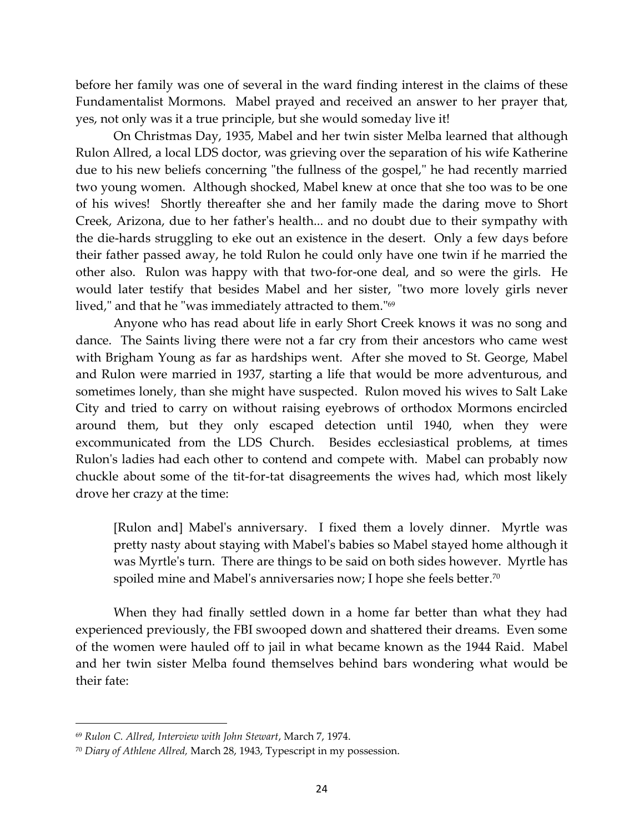before her family was one of several in the ward finding interest in the claims of these Fundamentalist Mormons. Mabel prayed and received an answer to her prayer that, yes, not only was it a true principle, but she would someday live it!

On Christmas Day, 1935, Mabel and her twin sister Melba learned that although Rulon Allred, a local LDS doctor, was grieving over the separation of his wife Katherine due to his new beliefs concerning "the fullness of the gospel," he had recently married two young women. Although shocked, Mabel knew at once that she too was to be one of his wives! Shortly thereafter she and her family made the daring move to Short Creek, Arizona, due to her father's health... and no doubt due to their sympathy with the die-hards struggling to eke out an existence in the desert. Only a few days before their father passed away, he told Rulon he could only have one twin if he married the other also. Rulon was happy with that two-for-one deal, and so were the girls. He would later testify that besides Mabel and her sister, "two more lovely girls never lived," and that he "was immediately attracted to them." 69

Anyone who has read about life in early Short Creek knows it was no song and dance. The Saints living there were not a far cry from their ancestors who came west with Brigham Young as far as hardships went. After she moved to St. George, Mabel and Rulon were married in 1937, starting a life that would be more adventurous, and sometimes lonely, than she might have suspected. Rulon moved his wives to Salt Lake City and tried to carry on without raising eyebrows of orthodox Mormons encircled around them, but they only escaped detection until 1940, when they were excommunicated from the LDS Church. Besides ecclesiastical problems, at times Rulon's ladies had each other to contend and compete with. Mabel can probably now chuckle about some of the tit-for-tat disagreements the wives had, which most likely drove her crazy at the time:

[Rulon and] Mabel's anniversary. I fixed them a lovely dinner. Myrtle was pretty nasty about staying with Mabel's babies so Mabel stayed home although it was Myrtle's turn. There are things to be said on both sides however. Myrtle has spoiled mine and Mabel's anniversaries now; I hope she feels better.<sup>70</sup>

When they had finally settled down in a home far better than what they had experienced previously, the FBI swooped down and shattered their dreams. Even some of the women were hauled off to jail in what became known as the 1944 Raid. Mabel and her twin sister Melba found themselves behind bars wondering what would be their fate:

<sup>69</sup> *Rulon C. Allred, Interview with John Stewart*, March 7, 1974.

<sup>70</sup> *Diary of Athlene Allred,* March 28, 1943, Typescript in my possession.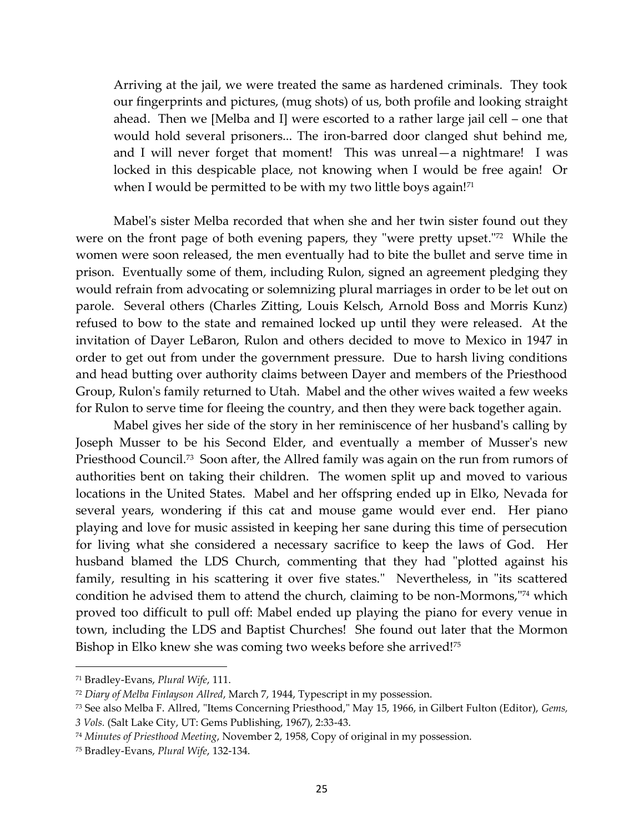Arriving at the jail, we were treated the same as hardened criminals. They took our fingerprints and pictures, (mug shots) of us, both profile and looking straight ahead. Then we [Melba and I] were escorted to a rather large jail cell – one that would hold several prisoners... The iron-barred door clanged shut behind me, and I will never forget that moment! This was unreal—a nightmare! I was locked in this despicable place, not knowing when I would be free again! Or when I would be permitted to be with my two little boys again! $71$ 

Mabel's sister Melba recorded that when she and her twin sister found out they were on the front page of both evening papers, they "were pretty upset."<sup>72</sup> While the women were soon released, the men eventually had to bite the bullet and serve time in prison. Eventually some of them, including Rulon, signed an agreement pledging they would refrain from advocating or solemnizing plural marriages in order to be let out on parole. Several others (Charles Zitting, Louis Kelsch, Arnold Boss and Morris Kunz) refused to bow to the state and remained locked up until they were released. At the invitation of Dayer LeBaron, Rulon and others decided to move to Mexico in 1947 in order to get out from under the government pressure. Due to harsh living conditions and head butting over authority claims between Dayer and members of the Priesthood Group, Rulon's family returned to Utah. Mabel and the other wives waited a few weeks for Rulon to serve time for fleeing the country, and then they were back together again.

Mabel gives her side of the story in her reminiscence of her husband's calling by Joseph Musser to be his Second Elder, and eventually a member of Musser's new Priesthood Council.<sup>73</sup> Soon after, the Allred family was again on the run from rumors of authorities bent on taking their children. The women split up and moved to various locations in the United States. Mabel and her offspring ended up in Elko, Nevada for several years, wondering if this cat and mouse game would ever end. Her piano playing and love for music assisted in keeping her sane during this time of persecution for living what she considered a necessary sacrifice to keep the laws of God. Her husband blamed the LDS Church, commenting that they had "plotted against his family, resulting in his scattering it over five states." Nevertheless, in "its scattered condition he advised them to attend the church, claiming to be non-Mormons," <sup>74</sup> which proved too difficult to pull off: Mabel ended up playing the piano for every venue in town, including the LDS and Baptist Churches! She found out later that the Mormon Bishop in Elko knew she was coming two weeks before she arrived!<sup>75</sup>

<sup>71</sup> Bradley-Evans, *Plural Wife*, 111.

<sup>72</sup> *Diary of Melba Finlayson Allred*, March 7, 1944, Typescript in my possession.

<sup>73</sup> See also Melba F. Allred, "Items Concerning Priesthood," May 15, 1966, in Gilbert Fulton (Editor), *Gems,* 

*<sup>3</sup> Vols.* (Salt Lake City, UT: Gems Publishing, 1967), 2:33-43.

<sup>74</sup> *Minutes of Priesthood Meeting*, November 2, 1958, Copy of original in my possession.

<sup>75</sup> Bradley-Evans, *Plural Wife*, 132-134.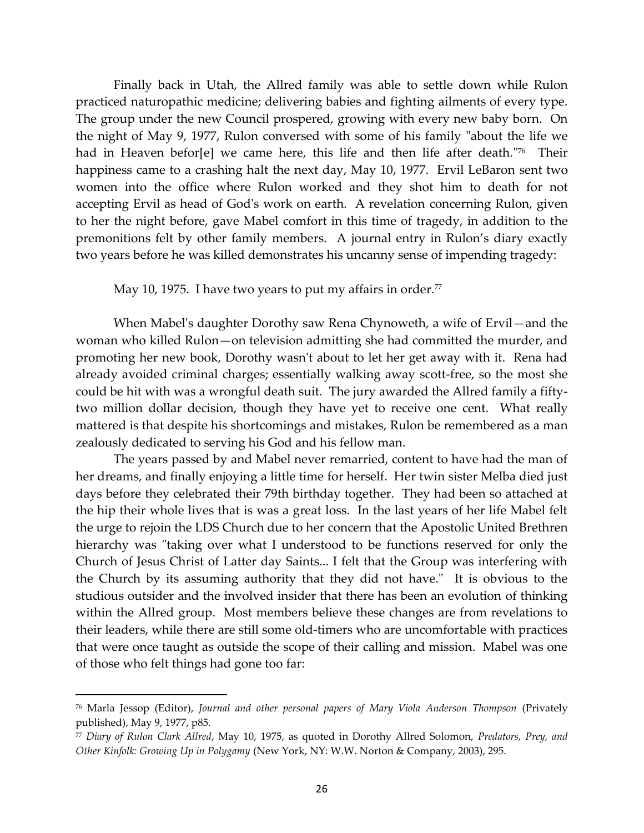Finally back in Utah, the Allred family was able to settle down while Rulon practiced naturopathic medicine; delivering babies and fighting ailments of every type. The group under the new Council prospered, growing with every new baby born. On the night of May 9, 1977, Rulon conversed with some of his family "about the life we had in Heaven befor[e] we came here, this life and then life after death." 76 Their happiness came to a crashing halt the next day, May 10, 1977. Ervil LeBaron sent two women into the office where Rulon worked and they shot him to death for not accepting Ervil as head of God's work on earth. A revelation concerning Rulon, given to her the night before, gave Mabel comfort in this time of tragedy, in addition to the premonitions felt by other family members. A journal entry in Rulon's diary exactly two years before he was killed demonstrates his uncanny sense of impending tragedy:

May 10, 1975. I have two years to put my affairs in order.<sup>77</sup>

When Mabel's daughter Dorothy saw Rena Chynoweth, a wife of Ervil—and the woman who killed Rulon—on television admitting she had committed the murder, and promoting her new book, Dorothy wasn't about to let her get away with it. Rena had already avoided criminal charges; essentially walking away scott-free, so the most she could be hit with was a wrongful death suit. The jury awarded the Allred family a fiftytwo million dollar decision, though they have yet to receive one cent. What really mattered is that despite his shortcomings and mistakes, Rulon be remembered as a man zealously dedicated to serving his God and his fellow man.

The years passed by and Mabel never remarried, content to have had the man of her dreams, and finally enjoying a little time for herself. Her twin sister Melba died just days before they celebrated their 79th birthday together. They had been so attached at the hip their whole lives that is was a great loss. In the last years of her life Mabel felt the urge to rejoin the LDS Church due to her concern that the Apostolic United Brethren hierarchy was "taking over what I understood to be functions reserved for only the Church of Jesus Christ of Latter day Saints... I felt that the Group was interfering with the Church by its assuming authority that they did not have." It is obvious to the studious outsider and the involved insider that there has been an evolution of thinking within the Allred group. Most members believe these changes are from revelations to their leaders, while there are still some old-timers who are uncomfortable with practices that were once taught as outside the scope of their calling and mission. Mabel was one of those who felt things had gone too far:

<sup>76</sup> Marla Jessop (Editor), *Journal and other personal papers of Mary Viola Anderson Thompson* (Privately published), May 9, 1977, p85.

<sup>77</sup> *Diary of Rulon Clark Allred*, May 10, 1975, as quoted in Dorothy Allred Solomon, *Predators, Prey, and Other Kinfolk: Growing Up in Polygamy* (New York, NY: W.W. Norton & Company, 2003), 295.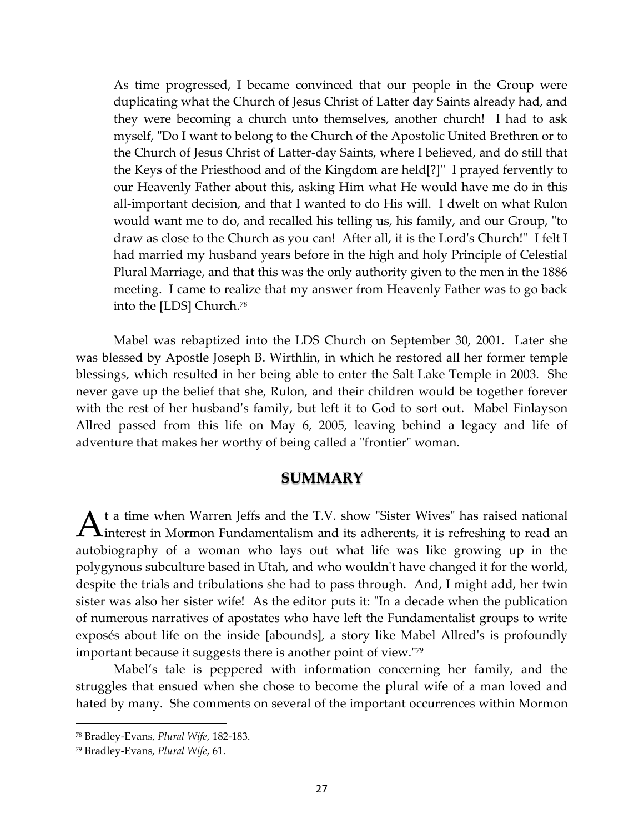As time progressed, I became convinced that our people in the Group were duplicating what the Church of Jesus Christ of Latter day Saints already had, and they were becoming a church unto themselves, another church! I had to ask myself, "Do I want to belong to the Church of the Apostolic United Brethren or to the Church of Jesus Christ of Latter-day Saints, where I believed, and do still that the Keys of the Priesthood and of the Kingdom are held[?]" I prayed fervently to our Heavenly Father about this, asking Him what He would have me do in this all-important decision, and that I wanted to do His will. I dwelt on what Rulon would want me to do, and recalled his telling us, his family, and our Group, "to draw as close to the Church as you can! After all, it is the Lord's Church!" I felt I had married my husband years before in the high and holy Principle of Celestial Plural Marriage, and that this was the only authority given to the men in the 1886 meeting. I came to realize that my answer from Heavenly Father was to go back into the [LDS] Church.<sup>78</sup>

Mabel was rebaptized into the LDS Church on September 30, 2001. Later she was blessed by Apostle Joseph B. Wirthlin, in which he restored all her former temple blessings, which resulted in her being able to enter the Salt Lake Temple in 2003. She never gave up the belief that she, Rulon, and their children would be together forever with the rest of her husband's family, but left it to God to sort out. Mabel Finlayson Allred passed from this life on May 6, 2005, leaving behind a legacy and life of adventure that makes her worthy of being called a "frontier" woman.

### **SUMMARY**

t a time when Warren Jeffs and the T.V. show "Sister Wives" has raised national A<sup>t a time</sup> when Warren Jeffs and the T.V. show "Sister Wives" has raised national interest in Mormon Fundamentalism and its adherents, it is refreshing to read an autobiography of a woman who lays out what life was like growing up in the polygynous subculture based in Utah, and who wouldn't have changed it for the world, despite the trials and tribulations she had to pass through. And, I might add, her twin sister was also her sister wife! As the editor puts it: "In a decade when the publication of numerous narratives of apostates who have left the Fundamentalist groups to write exposés about life on the inside [abounds], a story like Mabel Allred's is profoundly important because it suggests there is another point of view."<sup>79</sup>

Mabel's tale is peppered with information concerning her family, and the struggles that ensued when she chose to become the plural wife of a man loved and hated by many. She comments on several of the important occurrences within Mormon

<sup>78</sup> Bradley-Evans, *Plural Wife*, 182-183.

<sup>79</sup> Bradley-Evans, *Plural Wife*, 61.